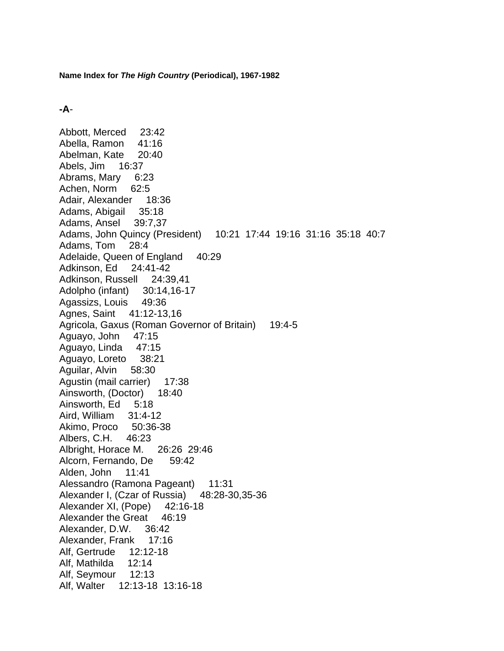## **-A**-

Abbott, Merced 23:42 Abella, Ramon 41:16 Abelman, Kate 20:40 Abels, Jim 16:37 Abrams, Mary 6:23 Achen, Norm 62:5 Adair, Alexander 18:36 Adams, Abigail 35:18 Adams, Ansel 39:7,37 Adams, John Quincy (President) 10:21 17:44 19:16 31:16 35:18 40:7 Adams, Tom 28:4 Adelaide, Queen of England 40:29 Adkinson, Ed 24:41-42 Adkinson, Russell 24:39,41 Adolpho (infant) 30:14,16-17 Agassizs, Louis 49:36 Agnes, Saint 41:12-13,16 Agricola, Gaxus (Roman Governor of Britain) 19:4-5 Aguayo, John 47:15 Aguayo, Linda 47:15 Aguayo, Loreto 38:21 Aguilar, Alvin 58:30 Agustin (mail carrier) 17:38 Ainsworth, (Doctor) 18:40 Ainsworth, Ed 5:18 Aird, William 31:4-12 Akimo, Proco 50:36-38 Albers, C.H. 46:23 Albright, Horace M. 26:26 29:46 Alcorn, Fernando, De 59:42 Alden, John 11:41 Alessandro (Ramona Pageant) 11:31 Alexander I, (Czar of Russia) 48:28-30,35-36 Alexander XI, (Pope) 42:16-18 Alexander the Great 46:19 Alexander, D.W. 36:42 Alexander, Frank 17:16 Alf, Gertrude 12:12-18 Alf, Mathilda 12:14 Alf, Seymour 12:13 Alf, Walter 12:13-18 13:16-18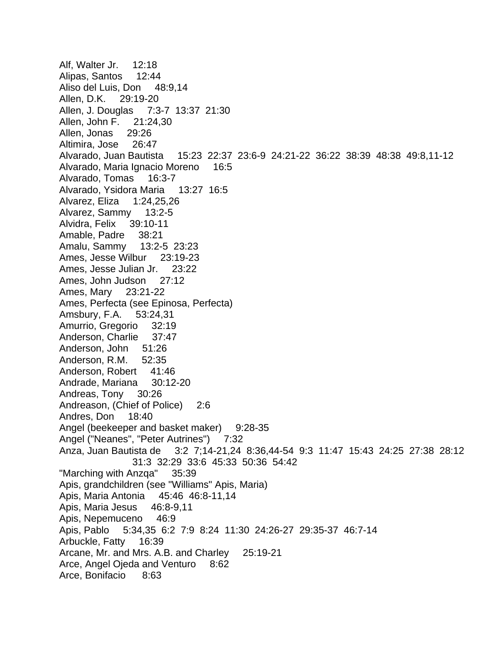Alf, Walter Jr. 12:18 Alipas, Santos 12:44 Aliso del Luis, Don 48:9,14 Allen, D.K. 29:19-20 Allen, J. Douglas 7:3-7 13:37 21:30 Allen, John F. 21:24,30 Allen, Jonas 29:26 Altimira, Jose 26:47 Alvarado, Juan Bautista 15:23 22:37 23:6-9 24:21-22 36:22 38:39 48:38 49:8,11-12 Alvarado, Maria Ignacio Moreno 16:5 Alvarado, Tomas 16:3-7 Alvarado, Ysidora Maria 13:27 16:5 Alvarez, Eliza 1:24,25,26 Alvarez, Sammy 13:2-5 Alvidra, Felix 39:10-11 Amable, Padre 38:21 Amalu, Sammy 13:2-5 23:23 Ames, Jesse Wilbur 23:19-23 Ames, Jesse Julian Jr. 23:22 Ames, John Judson 27:12 Ames, Mary 23:21-22 Ames, Perfecta (see Epinosa, Perfecta) Amsbury, F.A. 53:24,31 Amurrio, Gregorio 32:19 Anderson, Charlie 37:47 Anderson, John 51:26 Anderson, R.M. 52:35 Anderson, Robert 41:46 Andrade, Mariana 30:12-20 Andreas, Tony 30:26 Andreason, (Chief of Police) 2:6 Andres, Don 18:40 Angel (beekeeper and basket maker) 9:28-35 Angel ("Neanes", "Peter Autrines") 7:32 Anza, Juan Bautista de 3:2 7;14-21,24 8:36,44-54 9:3 11:47 15:43 24:25 27:38 28:12 31:3 32:29 33:6 45:33 50:36 54:42 "Marching with Anzqa" 35:39 Apis, grandchildren (see "Williams" Apis, Maria) Apis, Maria Antonia 45:46 46:8-11,14 Apis, Maria Jesus 46:8-9,11 Apis, Nepemuceno 46:9 Apis, Pablo 5:34,35 6:2 7:9 8:24 11:30 24:26-27 29:35-37 46:7-14 Arbuckle, Fatty 16:39 Arcane, Mr. and Mrs. A.B. and Charley 25:19-21 Arce, Angel Ojeda and Venturo 8:62 Arce, Bonifacio 8:63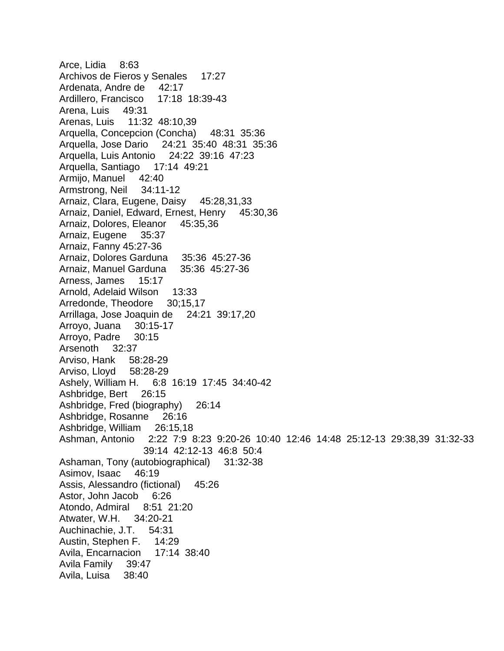Arce, Lidia 8:63 Archivos de Fieros y Senales 17:27 Ardenata, Andre de 42:17 Ardillero, Francisco 17:18 18:39-43 Arena, Luis 49:31 Arenas, Luis 11:32 48:10,39 Arquella, Concepcion (Concha) 48:31 35:36 Arquella, Jose Dario 24:21 35:40 48:31 35:36 Arquella, Luis Antonio 24:22 39:16 47:23 Arquella, Santiago 17:14 49:21 Armijo, Manuel 42:40 Armstrong, Neil 34:11-12 Arnaiz, Clara, Eugene, Daisy 45:28,31,33 Arnaiz, Daniel, Edward, Ernest, Henry 45:30,36 Arnaiz, Dolores, Eleanor 45:35,36 Arnaiz, Eugene 35:37 Arnaiz, Fanny 45:27-36 Arnaiz, Dolores Garduna 35:36 45:27-36 Arnaiz, Manuel Garduna 35:36 45:27-36 Arness, James 15:17 Arnold, Adelaid Wilson 13:33 Arredonde, Theodore 30;15,17 Arrillaga, Jose Joaquin de 24:21 39:17,20 Arroyo, Juana 30:15-17 Arroyo, Padre 30:15 Arsenoth 32:37 Arviso, Hank 58:28-29 Arviso, Lloyd 58:28-29 Ashely, William H. 6:8 16:19 17:45 34:40-42 Ashbridge, Bert 26:15 Ashbridge, Fred (biography) 26:14 Ashbridge, Rosanne 26:16 Ashbridge, William 26:15,18 Ashman, Antonio 2:22 7:9 8:23 9:20-26 10:40 12:46 14:48 25:12-13 29:38,39 31:32-33 39:14 42:12-13 46:8 50:4 Ashaman, Tony (autobiographical) 31:32-38 Asimov, Isaac 46:19 Assis, Alessandro (fictional) 45:26 Astor, John Jacob 6:26 Atondo, Admiral 8:51 21:20 Atwater, W.H. 34:20-21 Auchinachie, J.T. 54:31 Austin, Stephen F. 14:29 Avila, Encarnacion 17:14 38:40 Avila Family 39:47 Avila, Luisa 38:40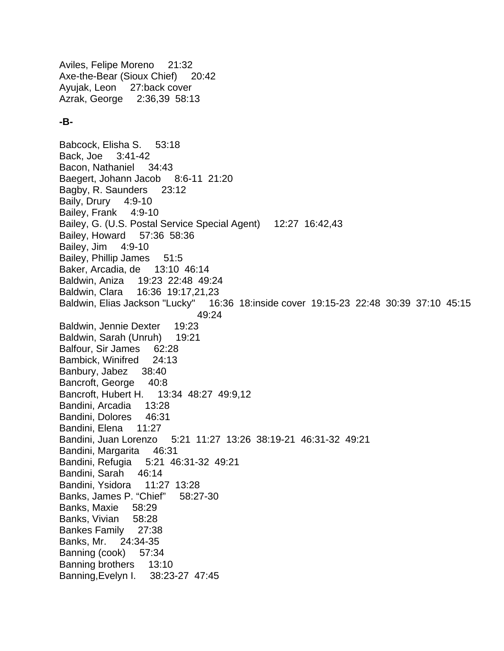Aviles, Felipe Moreno 21:32 Axe-the-Bear (Sioux Chief) 20:42 Ayujak, Leon 27:back cover Azrak, George 2:36,39 58:13

## **-B-**

Babcock, Elisha S. 53:18 Back, Joe 3:41-42 Bacon, Nathaniel 34:43 Baegert, Johann Jacob 8:6-11 21:20 Bagby, R. Saunders 23:12 Baily, Drury 4:9-10 Bailey, Frank 4:9-10 Bailey, G. (U.S. Postal Service Special Agent) 12:27 16:42,43 Bailey, Howard 57:36 58:36 Bailey, Jim 4:9-10 Bailey, Phillip James 51:5 Baker, Arcadia, de 13:10 46:14 Baldwin, Aniza 19:23 22:48 49:24 Baldwin, Clara 16:36 19:17,21,23 Baldwin, Elias Jackson "Lucky" 16:36 18:inside cover 19:15-23 22:48 30:39 37:10 45:15 49:24 Baldwin, Jennie Dexter 19:23 Baldwin, Sarah (Unruh) 19:21 Balfour, Sir James 62:28 Bambick, Winifred 24:13 Banbury, Jabez 38:40 Bancroft, George 40:8 Bancroft, Hubert H. 13:34 48:27 49:9,12 Bandini, Arcadia 13:28 Bandini, Dolores 46:31 Bandini, Elena 11:27 Bandini, Juan Lorenzo 5:21 11:27 13:26 38:19-21 46:31-32 49:21 Bandini, Margarita 46:31 Bandini, Refugia 5:21 46:31-32 49:21 Bandini, Sarah 46:14 Bandini, Ysidora 11:27 13:28 Banks, James P. "Chief" 58:27-30 Banks, Maxie 58:29 Banks, Vivian 58:28 Bankes Family 27:38 Banks, Mr. 24:34-35 Banning (cook) 57:34 Banning brothers 13:10 Banning,Evelyn I. 38:23-27 47:45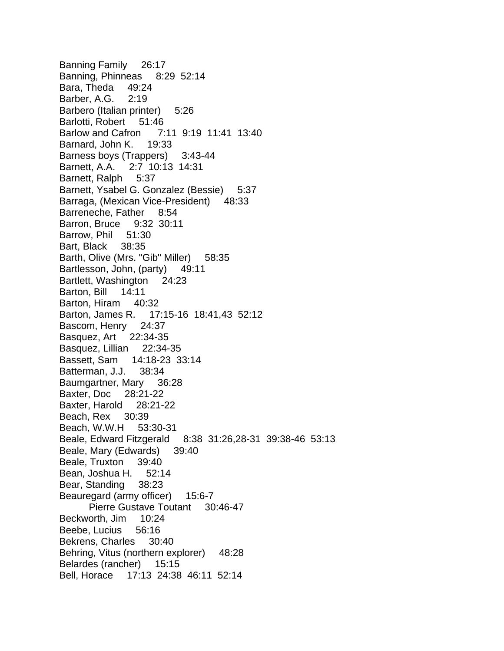Banning Family 26:17 Banning, Phinneas 8:29 52:14 Bara, Theda 49:24 Barber, A.G. 2:19 Barbero (Italian printer) 5:26 Barlotti, Robert 51:46 Barlow and Cafron 7:11 9:19 11:41 13:40 Barnard, John K. 19:33 Barness boys (Trappers) 3:43-44 Barnett, A.A. 2:7 10:13 14:31 Barnett, Ralph 5:37 Barnett, Ysabel G. Gonzalez (Bessie) 5:37 Barraga, (Mexican Vice-President) 48:33 Barreneche, Father 8:54 Barron, Bruce 9:32 30:11 Barrow, Phil 51:30 Bart, Black 38:35 Barth, Olive (Mrs. "Gib" Miller) 58:35 Bartlesson, John, (party) 49:11 Bartlett, Washington 24:23 Barton, Bill 14:11 Barton, Hiram 40:32 Barton, James R. 17:15-16 18:41,43 52:12 Bascom, Henry 24:37 Basquez, Art 22:34-35 Basquez, Lillian 22:34-35 Bassett, Sam 14:18-23 33:14 Batterman, J.J. 38:34 Baumgartner, Mary 36:28 Baxter, Doc 28:21-22 Baxter, Harold 28:21-22 Beach, Rex 30:39 Beach, W.W.H 53:30-31 Beale, Edward Fitzgerald 8:38 31:26,28-31 39:38-46 53:13 Beale, Mary (Edwards) 39:40 Beale, Truxton 39:40 Bean, Joshua H. 52:14 Bear, Standing 38:23 Beauregard (army officer) 15:6-7 Pierre Gustave Toutant 30:46-47 Beckworth, Jim 10:24 Beebe, Lucius 56:16 Bekrens, Charles 30:40 Behring, Vitus (northern explorer) 48:28 Belardes (rancher) 15:15 Bell, Horace 17:13 24:38 46:11 52:14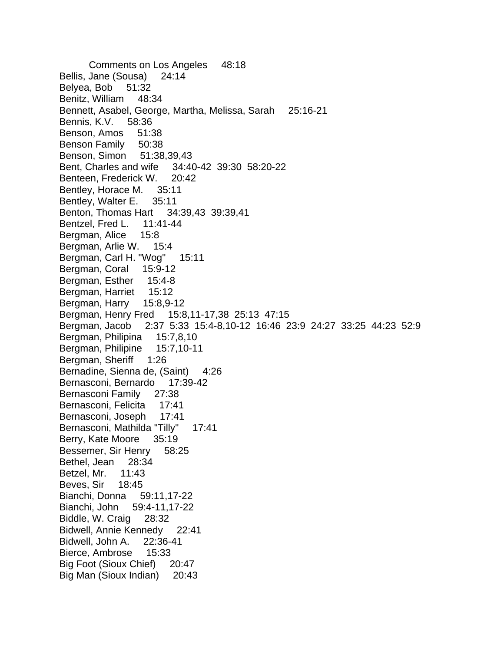Comments on Los Angeles 48:18 Bellis, Jane (Sousa) 24:14 Belyea, Bob 51:32 Benitz, William 48:34 Bennett, Asabel, George, Martha, Melissa, Sarah 25:16-21 Bennis, K.V. 58:36 Benson, Amos 51:38 Benson Family 50:38 Benson, Simon 51:38,39,43 Bent, Charles and wife 34:40-42 39:30 58:20-22 Benteen, Frederick W. 20:42 Bentley, Horace M. 35:11 Bentley, Walter E. 35:11 Benton, Thomas Hart 34:39,43 39:39,41 Bentzel, Fred L. 11:41-44 Bergman, Alice 15:8 Bergman, Arlie W. 15:4 Bergman, Carl H. "Wog" 15:11 Bergman, Coral 15:9-12 Bergman, Esther 15:4-8 Bergman, Harriet 15:12 Bergman, Harry 15:8,9-12 Bergman, Henry Fred 15:8,11-17,38 25:13 47:15 Bergman, Jacob 2:37 5:33 15:4-8,10-12 16:46 23:9 24:27 33:25 44:23 52:9 Bergman, Philipina 15:7,8,10 Bergman, Philipine 15:7,10-11 Bergman, Sheriff 1:26 Bernadine, Sienna de, (Saint) 4:26 Bernasconi, Bernardo 17:39-42 Bernasconi Family 27:38 Bernasconi, Felicita 17:41 Bernasconi, Joseph 17:41 Bernasconi, Mathilda "Tilly" 17:41 Berry, Kate Moore 35:19 Bessemer, Sir Henry 58:25 Bethel, Jean 28:34 Betzel, Mr. 11:43 Beves, Sir 18:45 Bianchi, Donna 59:11,17-22 Bianchi, John 59:4-11,17-22 Biddle, W. Craig 28:32 Bidwell, Annie Kennedy 22:41 Bidwell, John A. 22:36-41 Bierce, Ambrose 15:33 Big Foot (Sioux Chief) 20:47 Big Man (Sioux Indian) 20:43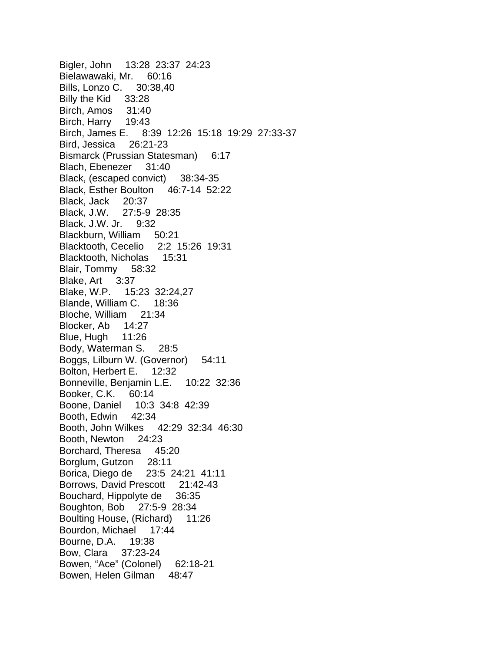Bigler, John 13:28 23:37 24:23 Bielawawaki, Mr. 60:16 Bills, Lonzo C. 30:38,40 Billy the Kid 33:28 Birch, Amos 31:40 Birch, Harry 19:43 Birch, James E. 8:39 12:26 15:18 19:29 27:33-37 Bird, Jessica 26:21-23 Bismarck (Prussian Statesman) 6:17 Blach, Ebenezer 31:40 Black, (escaped convict) 38:34-35 Black, Esther Boulton 46:7-14 52:22 Black, Jack 20:37 Black, J.W. 27:5-9 28:35 Black, J.W. Jr. 9:32 Blackburn, William 50:21 Blacktooth, Cecelio 2:2 15:26 19:31 Blacktooth, Nicholas 15:31 Blair, Tommy 58:32 Blake, Art 3:37 Blake, W.P. 15:23 32:24,27 Blande, William C. 18:36 Bloche, William 21:34 Blocker, Ab 14:27 Blue, Hugh 11:26 Body, Waterman S. 28:5 Boggs, Lilburn W. (Governor) 54:11 Bolton, Herbert E. 12:32 Bonneville, Benjamin L.E. 10:22 32:36 Booker, C.K. 60:14 Boone, Daniel 10:3 34:8 42:39 Booth, Edwin 42:34 Booth, John Wilkes 42:29 32:34 46:30 Booth, Newton 24:23 Borchard, Theresa 45:20 Borglum, Gutzon 28:11 Borica, Diego de 23:5 24:21 41:11 Borrows, David Prescott 21:42-43 Bouchard, Hippolyte de 36:35 Boughton, Bob 27:5-9 28:34 Boulting House, (Richard) 11:26 Bourdon, Michael 17:44 Bourne, D.A. 19:38 Bow, Clara 37:23-24 Bowen, "Ace" (Colonel) 62:18-21 Bowen, Helen Gilman 48:47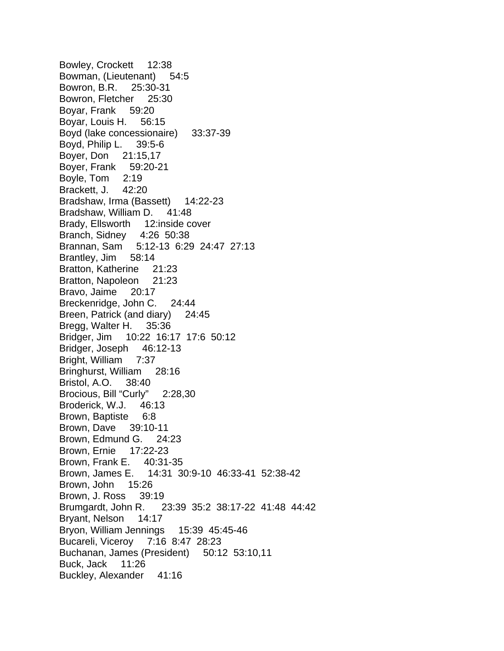Bowley, Crockett 12:38 Bowman, (Lieutenant) 54:5 Bowron, B.R. 25:30-31 Bowron, Fletcher 25:30 Boyar, Frank 59:20 Boyar, Louis H. 56:15 Boyd (lake concessionaire) 33:37-39 Boyd, Philip L. 39:5-6 Boyer, Don 21:15,17 Boyer, Frank 59:20-21 Boyle, Tom 2:19 Brackett, J. 42:20 Bradshaw, Irma (Bassett) 14:22-23 Bradshaw, William D. 41:48 Brady, Ellsworth 12:inside cover Branch, Sidney 4:26 50:38 Brannan, Sam 5:12-13 6:29 24:47 27:13 Brantley, Jim 58:14 Bratton, Katherine 21:23 Bratton, Napoleon 21:23 Bravo, Jaime 20:17 Breckenridge, John C. 24:44 Breen, Patrick (and diary) 24:45 Bregg, Walter H. 35:36 Bridger, Jim 10:22 16:17 17:6 50:12 Bridger, Joseph 46:12-13 Bright, William 7:37 Bringhurst, William 28:16 Bristol, A.O. 38:40 Brocious, Bill "Curly" 2:28,30 Broderick, W.J. 46:13 Brown, Baptiste 6:8 Brown, Dave 39:10-11 Brown, Edmund G. 24:23 Brown, Ernie 17:22-23 Brown, Frank E. 40:31-35 Brown, James E. 14:31 30:9-10 46:33-41 52:38-42 Brown, John 15:26 Brown, J. Ross 39:19 Brumgardt, John R. 23:39 35:2 38:17-22 41:48 44:42 Bryant, Nelson 14:17 Bryon, William Jennings 15:39 45:45-46 Bucareli, Viceroy 7:16 8:47 28:23 Buchanan, James (President) 50:12 53:10,11 Buck, Jack 11:26 Buckley, Alexander 41:16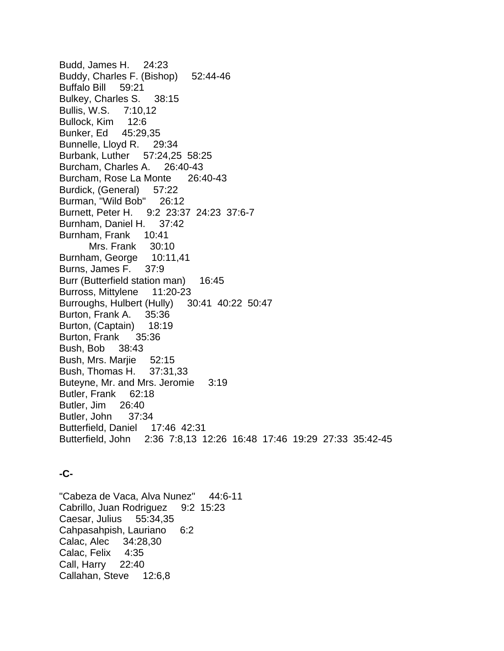Budd, James H. 24:23 Buddy, Charles F. (Bishop) 52:44-46 Buffalo Bill 59:21 Bulkey, Charles S. 38:15 Bullis, W.S. 7:10,12 Bullock, Kim 12:6 Bunker, Ed 45:29,35 Bunnelle, Lloyd R. 29:34 Burbank, Luther 57:24,25 58:25 Burcham, Charles A. 26:40-43 Burcham, Rose La Monte 26:40-43 Burdick, (General) 57:22 Burman, "Wild Bob" 26:12 Burnett, Peter H. 9:2 23:37 24:23 37:6-7 Burnham, Daniel H. 37:42 Burnham, Frank 10:41 Mrs. Frank 30:10 Burnham, George 10:11,41 Burns, James F. 37:9 Burr (Butterfield station man) 16:45 Burross, Mittylene 11:20-23 Burroughs, Hulbert (Hully) 30:41 40:22 50:47 Burton, Frank A. 35:36 Burton, (Captain) 18:19 Burton, Frank 35:36 Bush, Bob 38:43 Bush, Mrs. Marjie 52:15 Bush, Thomas H. 37:31,33 Buteyne, Mr. and Mrs. Jeromie 3:19 Butler, Frank 62:18 Butler, Jim 26:40 Butler, John 37:34 Butterfield, Daniel 17:46 42:31 Butterfield, John 2:36 7:8,13 12:26 16:48 17:46 19:29 27:33 35:42-45

## **-C-**

"Cabeza de Vaca, Alva Nunez" 44:6-11 Cabrillo, Juan Rodriguez 9:2 15:23 Caesar, Julius 55:34,35 Cahpasahpish, Lauriano 6:2 Calac, Alec 34:28,30 Calac, Felix 4:35 Call, Harry 22:40 Callahan, Steve 12:6,8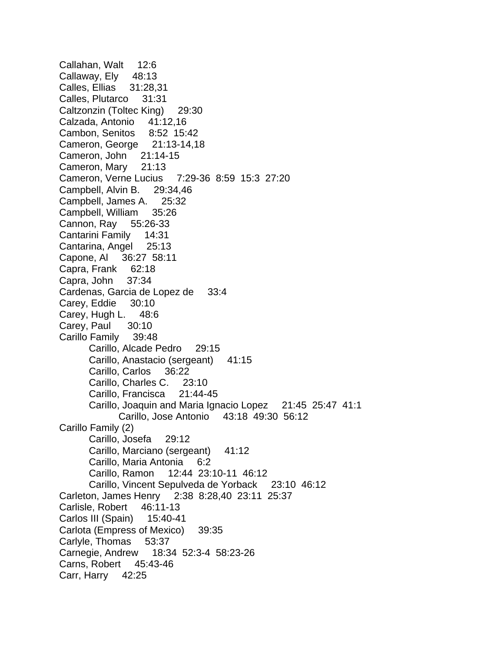Callahan, Walt 12:6 Callaway, Ely 48:13 Calles, Ellias 31:28,31 Calles, Plutarco 31:31 Caltzonzin (Toltec King) 29:30 Calzada, Antonio 41:12,16 Cambon, Senitos 8:52 15:42 Cameron, George 21:13-14,18 Cameron, John 21:14-15 Cameron, Mary 21:13 Cameron, Verne Lucius 7:29-36 8:59 15:3 27:20 Campbell, Alvin B. 29:34,46 Campbell, James A. 25:32 Campbell, William 35:26 Cannon, Ray 55:26-33 Cantarini Family 14:31 Cantarina, Angel 25:13 Capone, Al 36:27 58:11 Capra, Frank 62:18 Capra, John 37:34 Cardenas, Garcia de Lopez de 33:4 Carey, Eddie 30:10 Carey, Hugh L. 48:6 Carey, Paul 30:10 Carillo Family 39:48 Carillo, Alcade Pedro 29:15 Carillo, Anastacio (sergeant) 41:15 Carillo, Carlos 36:22 Carillo, Charles C. 23:10 Carillo, Francisca 21:44-45 Carillo, Joaquin and Maria Ignacio Lopez 21:45 25:47 41:1 Carillo, Jose Antonio 43:18 49:30 56:12 Carillo Family (2) Carillo, Josefa 29:12 Carillo, Marciano (sergeant) 41:12 Carillo, Maria Antonia 6:2 Carillo, Ramon 12:44 23:10-11 46:12 Carillo, Vincent Sepulveda de Yorback 23:10 46:12 Carleton, James Henry 2:38 8:28,40 23:11 25:37 Carlisle, Robert 46:11-13 Carlos III (Spain) 15:40-41 Carlota (Empress of Mexico) 39:35 Carlyle, Thomas 53:37 Carnegie, Andrew 18:34 52:3-4 58:23-26 Carns, Robert 45:43-46 Carr, Harry 42:25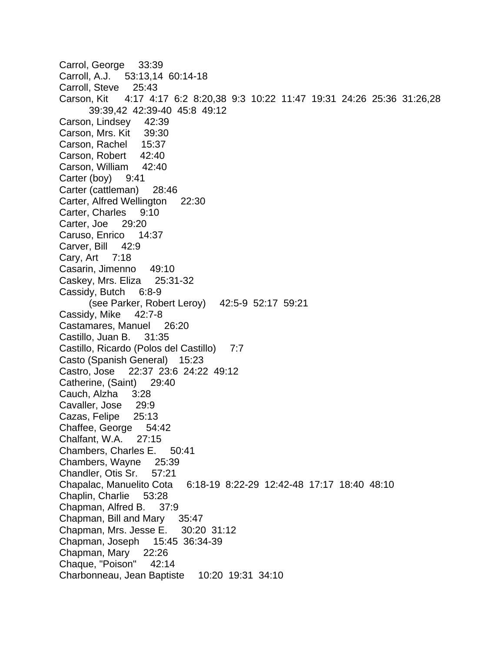Carrol, George 33:39 Carroll, A.J. 53:13,14 60:14-18 Carroll, Steve 25:43 Carson, Kit 4:17 4:17 6:2 8:20,38 9:3 10:22 11:47 19:31 24:26 25:36 31:26,28 39:39,42 42:39-40 45:8 49:12 Carson, Lindsey 42:39 Carson, Mrs. Kit 39:30 Carson, Rachel 15:37 Carson, Robert 42:40 Carson, William 42:40 Carter (boy) 9:41 Carter (cattleman) 28:46 Carter, Alfred Wellington 22:30 Carter, Charles 9:10 Carter, Joe 29:20 Caruso, Enrico 14:37 Carver, Bill 42:9 Cary, Art 7:18 Casarin, Jimenno 49:10 Caskey, Mrs. Eliza 25:31-32 Cassidy, Butch 6:8-9 (see Parker, Robert Leroy) 42:5-9 52:17 59:21 Cassidy, Mike 42:7-8 Castamares, Manuel 26:20 Castillo, Juan B. 31:35 Castillo, Ricardo (Polos del Castillo) 7:7 Casto (Spanish General) 15:23 Castro, Jose 22:37 23:6 24:22 49:12 Catherine, (Saint) 29:40 Cauch, Alzha 3:28 Cavaller, Jose 29:9 Cazas, Felipe 25:13 Chaffee, George 54:42 Chalfant, W.A. 27:15 Chambers, Charles E. 50:41 Chambers, Wayne 25:39 Chandler, Otis Sr. 57:21 Chapalac, Manuelito Cota 6:18-19 8:22-29 12:42-48 17:17 18:40 48:10 Chaplin, Charlie 53:28 Chapman, Alfred B. 37:9 Chapman, Bill and Mary 35:47 Chapman, Mrs. Jesse E. 30:20 31:12 Chapman, Joseph 15:45 36:34-39 Chapman, Mary 22:26 Chaque, "Poison" 42:14 Charbonneau, Jean Baptiste 10:20 19:31 34:10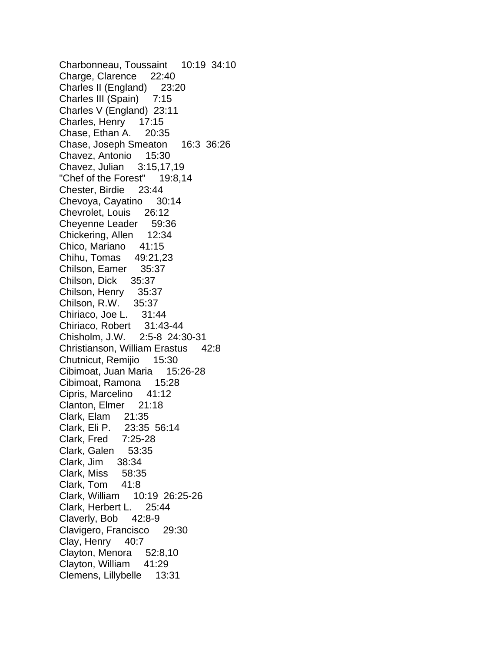Charbonneau, Toussaint 10:19 34:10 Charge, Clarence 22:40 Charles II (England) 23:20 Charles III (Spain) 7:15 Charles V (England) 23:11 Charles, Henry 17:15 Chase, Ethan A. 20:35 Chase, Joseph Smeaton 16:3 36:26 Chavez, Antonio 15:30 Chavez, Julian 3:15,17,19 "Chef of the Forest" 19:8,14 Chester, Birdie 23:44 Chevoya, Cayatino 30:14 Chevrolet, Louis 26:12 Cheyenne Leader 59:36 Chickering, Allen 12:34 Chico, Mariano 41:15 Chihu, Tomas 49:21,23 Chilson, Eamer 35:37 Chilson, Dick 35:37 Chilson, Henry 35:37 Chilson, R.W. 35:37 Chiriaco, Joe L. 31:44 Chiriaco, Robert 31:43-44 Chisholm, J.W. 2:5-8 24:30-31 Christianson, William Erastus 42:8 Chutnicut, Remijio 15:30 Cibimoat, Juan Maria 15:26-28 Cibimoat, Ramona 15:28 Cipris, Marcelino 41:12 Clanton, Elmer 21:18 Clark, Elam 21:35 Clark, Eli P. 23:35 56:14 Clark, Fred 7:25-28 Clark, Galen 53:35 Clark, Jim 38:34 Clark, Miss 58:35 Clark, Tom 41:8 Clark, William 10:19 26:25-26 Clark, Herbert L. 25:44 Claverly, Bob 42:8-9 Clavigero, Francisco 29:30 Clay, Henry 40:7 Clayton, Menora 52:8,10 Clayton, William 41:29 Clemens, Lillybelle 13:31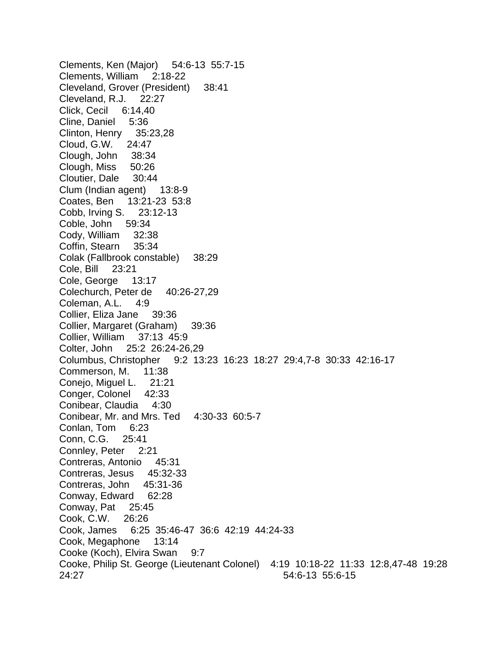Clements, Ken (Major) 54:6-13 55:7-15 Clements, William 2:18-22 Cleveland, Grover (President) 38:41 Cleveland, R.J. 22:27 Click, Cecil 6:14,40 Cline, Daniel 5:36 Clinton, Henry 35:23,28 Cloud, G.W. 24:47 Clough, John 38:34 Clough, Miss 50:26 Cloutier, Dale 30:44 Clum (Indian agent) 13:8-9 Coates, Ben 13:21-23 53:8 Cobb, Irving S. 23:12-13 Coble, John 59:34 Cody, William 32:38 Coffin, Stearn 35:34 Colak (Fallbrook constable) 38:29 Cole, Bill 23:21 Cole, George 13:17 Colechurch, Peter de 40:26-27,29 Coleman, A.L. 4:9 Collier, Eliza Jane 39:36 Collier, Margaret (Graham) 39:36 Collier, William 37:13 45:9 Colter, John 25:2 26:24-26,29 Columbus, Christopher 9:2 13:23 16:23 18:27 29:4,7-8 30:33 42:16-17 Commerson, M. 11:38 Conejo, Miguel L. 21:21 Conger, Colonel 42:33 Conibear, Claudia 4:30 Conibear, Mr. and Mrs. Ted 4:30-33 60:5-7 Conlan, Tom 6:23 Conn, C.G. 25:41 Connley, Peter 2:21 Contreras, Antonio 45:31 Contreras, Jesus 45:32-33 Contreras, John 45:31-36 Conway, Edward 62:28 Conway, Pat 25:45 Cook, C.W. 26:26 Cook, James 6:25 35:46-47 36:6 42:19 44:24-33 Cook, Megaphone 13:14 Cooke (Koch), Elvira Swan 9:7 Cooke, Philip St. George (Lieutenant Colonel) 4:19 10:18-22 11:33 12:8,47-48 19:28 24:27 54:6-13 55:6-15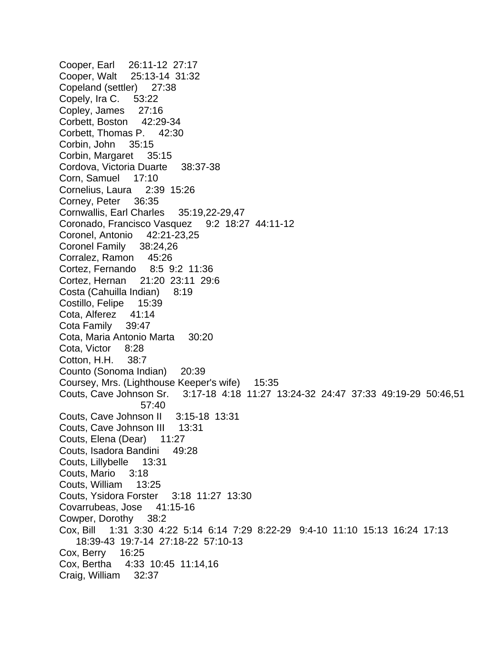Cooper, Earl 26:11-12 27:17 Cooper, Walt 25:13-14 31:32 Copeland (settler) 27:38 Copely, Ira C. 53:22 Copley, James 27:16 Corbett, Boston 42:29-34 Corbett, Thomas P. 42:30 Corbin, John 35:15 Corbin, Margaret 35:15 Cordova, Victoria Duarte 38:37-38 Corn, Samuel 17:10 Cornelius, Laura 2:39 15:26 Corney, Peter 36:35 Cornwallis, Earl Charles 35:19,22-29,47 Coronado, Francisco Vasquez 9:2 18:27 44:11-12 Coronel, Antonio 42:21-23,25 Coronel Family 38:24,26 Corralez, Ramon 45:26 Cortez, Fernando 8:5 9:2 11:36 Cortez, Hernan 21:20 23:11 29:6 Costa (Cahuilla Indian) 8:19 Costillo, Felipe 15:39 Cota, Alferez 41:14 Cota Family 39:47 Cota, Maria Antonio Marta 30:20 Cota, Victor 8:28 Cotton, H.H. 38:7 Counto (Sonoma Indian) 20:39 Coursey, Mrs. (Lighthouse Keeper's wife) 15:35 Couts, Cave Johnson Sr. 3:17-18 4:18 11:27 13:24-32 24:47 37:33 49:19-29 50:46,51 57:40 Couts, Cave Johnson II 3:15-18 13:31 Couts, Cave Johnson III 13:31 Couts, Elena (Dear) 11:27 Couts, Isadora Bandini 49:28 Couts, Lillybelle 13:31 Couts, Mario 3:18 Couts, William 13:25 Couts, Ysidora Forster 3:18 11:27 13:30 Covarrubeas, Jose 41:15-16 Cowper, Dorothy 38:2 Cox, Bill 1:31 3:30 4:22 5:14 6:14 7:29 8:22-29 9:4-10 11:10 15:13 16:24 17:13 18:39-43 19:7-14 27:18-22 57:10-13 Cox, Berry 16:25 Cox, Bertha 4:33 10:45 11:14,16 Craig, William 32:37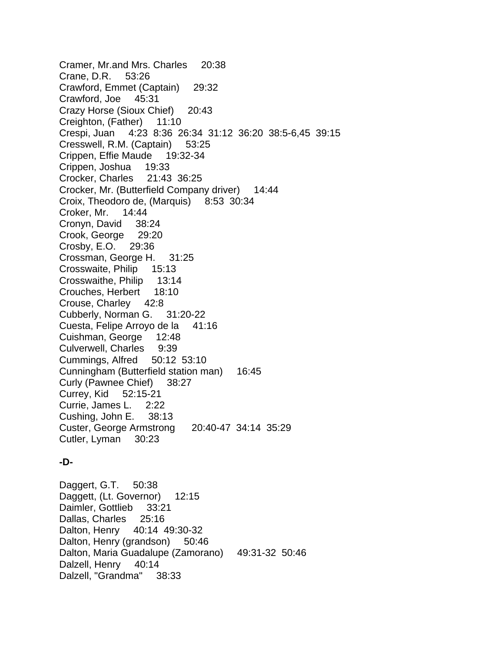Cramer, Mr.and Mrs. Charles 20:38 Crane, D.R. 53:26 Crawford, Emmet (Captain) 29:32 Crawford, Joe 45:31 Crazy Horse (Sioux Chief) 20:43 Creighton, (Father) 11:10 Crespi, Juan 4:23 8:36 26:34 31:12 36:20 38:5-6,45 39:15 Cresswell, R.M. (Captain) 53:25 Crippen, Effie Maude 19:32-34 Crippen, Joshua 19:33 Crocker, Charles 21:43 36:25 Crocker, Mr. (Butterfield Company driver) 14:44 Croix, Theodoro de, (Marquis) 8:53 30:34 Croker, Mr. 14:44 Cronyn, David 38:24 Crook, George 29:20 Crosby, E.O. 29:36 Crossman, George H. 31:25 Crosswaite, Philip 15:13 Crosswaithe, Philip 13:14 Crouches, Herbert 18:10 Crouse, Charley 42:8 Cubberly, Norman G. 31:20-22 Cuesta, Felipe Arroyo de la 41:16 Cuishman, George 12:48 Culverwell, Charles 9:39 Cummings, Alfred 50:12 53:10 Cunningham (Butterfield station man) 16:45 Curly (Pawnee Chief) 38:27 Currey, Kid 52:15-21 Currie, James L. 2:22 Cushing, John E. 38:13 Custer, George Armstrong 20:40-47 34:14 35:29 Cutler, Lyman 30:23

## **-D-**

Daggert, G.T. 50:38 Daggett, (Lt. Governor) 12:15 Daimler, Gottlieb 33:21 Dallas, Charles 25:16 Dalton, Henry 40:14 49:30-32 Dalton, Henry (grandson) 50:46 Dalton, Maria Guadalupe (Zamorano) 49:31-32 50:46 Dalzell, Henry 40:14 Dalzell, "Grandma" 38:33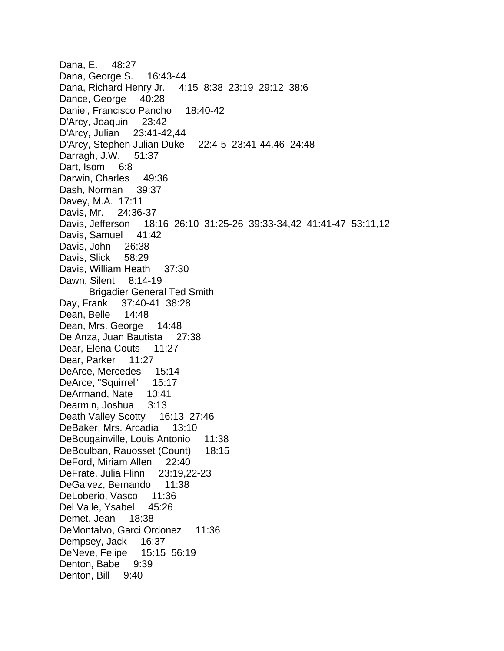Dana, E. 48:27 Dana, George S. 16:43-44 Dana, Richard Henry Jr. 4:15 8:38 23:19 29:12 38:6 Dance, George 40:28 Daniel, Francisco Pancho 18:40-42 D'Arcy, Joaquin 23:42 D'Arcy, Julian 23:41-42,44 D'Arcy, Stephen Julian Duke 22:4-5 23:41-44,46 24:48 Darragh, J.W. 51:37 Dart, Isom 6:8 Darwin, Charles 49:36 Dash, Norman 39:37 Davey, M.A. 17:11 Davis, Mr. 24:36-37 Davis, Jefferson 18:16 26:10 31:25-26 39:33-34,42 41:41-47 53:11,12 Davis, Samuel 41:42 Davis, John 26:38 Davis, Slick 58:29 Davis, William Heath 37:30 Dawn, Silent 8:14-19 Brigadier General Ted Smith Day, Frank 37:40-41 38:28 Dean, Belle 14:48 Dean, Mrs. George 14:48 De Anza, Juan Bautista 27:38 Dear, Elena Couts 11:27 Dear, Parker 11:27 DeArce, Mercedes 15:14 DeArce, "Squirrel" 15:17 DeArmand, Nate 10:41 Dearmin, Joshua 3:13 Death Valley Scotty 16:13 27:46 DeBaker, Mrs. Arcadia 13:10 DeBougainville, Louis Antonio 11:38 DeBoulban, Rauosset (Count) 18:15 DeFord, Miriam Allen 22:40 DeFrate, Julia Flinn 23:19,22-23 DeGalvez, Bernando 11:38 DeLoberio, Vasco 11:36 Del Valle, Ysabel 45:26 Demet, Jean 18:38 DeMontalvo, Garci Ordonez 11:36 Dempsey, Jack 16:37 DeNeve, Felipe 15:15 56:19 Denton, Babe 9:39 Denton, Bill 9:40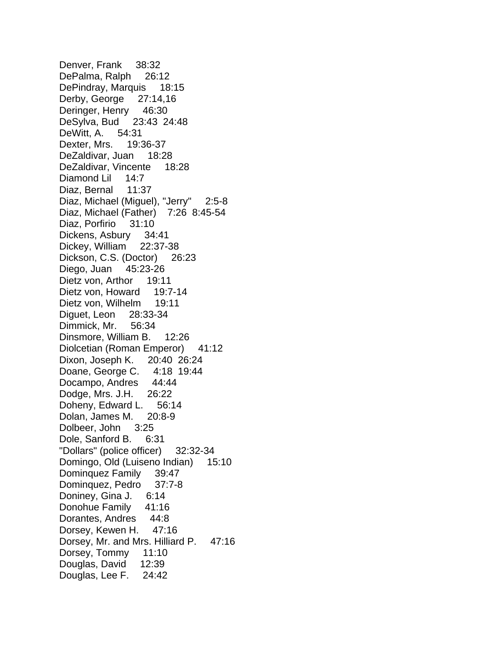Denver, Frank 38:32 DePalma, Ralph 26:12 DePindray, Marquis 18:15 Derby, George 27:14,16 Deringer, Henry 46:30 DeSylva, Bud 23:43 24:48 DeWitt, A. 54:31 Dexter, Mrs. 19:36-37 DeZaldivar, Juan 18:28 DeZaldivar, Vincente 18:28 Diamond Lil 14:7 Diaz, Bernal 11:37 Diaz, Michael (Miguel), "Jerry" 2:5-8 Diaz, Michael (Father) 7:26 8:45-54 Diaz, Porfirio 31:10 Dickens, Asbury 34:41 Dickey, William 22:37-38 Dickson, C.S. (Doctor) 26:23 Diego, Juan 45:23-26 Dietz von, Arthor 19:11 Dietz von, Howard 19:7-14 Dietz von, Wilhelm 19:11 Diguet, Leon 28:33-34 Dimmick, Mr. 56:34 Dinsmore, William B. 12:26 Diolcetian (Roman Emperor) 41:12 Dixon, Joseph K. 20:40 26:24 Doane, George C. 4:18 19:44 Docampo, Andres 44:44 Dodge, Mrs. J.H. 26:22 Doheny, Edward L. 56:14 Dolan, James M. 20:8-9 Dolbeer, John 3:25 Dole, Sanford B. 6:31 "Dollars" (police officer) 32:32-34 Domingo, Old (Luiseno Indian) 15:10 Dominquez Family 39:47 Dominquez, Pedro 37:7-8 Doniney, Gina J. 6:14 Donohue Family 41:16 Dorantes, Andres 44:8 Dorsey, Kewen H. 47:16 Dorsey, Mr. and Mrs. Hilliard P. 47:16 Dorsey, Tommy 11:10 Douglas, David 12:39 Douglas, Lee F. 24:42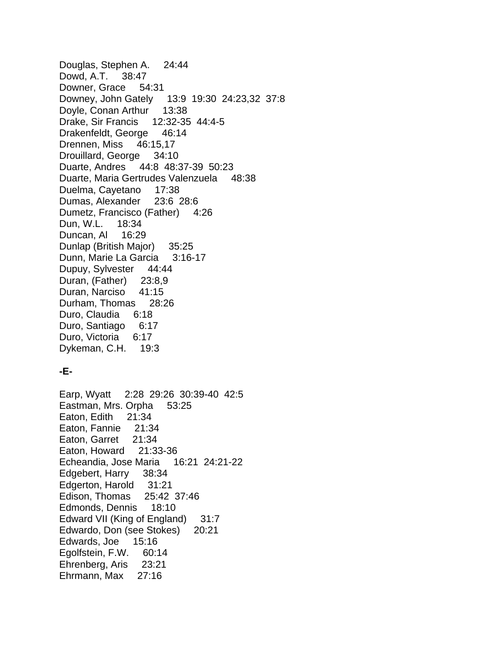Douglas, Stephen A. 24:44 Dowd, A.T. 38:47 Downer, Grace 54:31 Downey, John Gately 13:9 19:30 24:23,32 37:8 Doyle, Conan Arthur 13:38 Drake, Sir Francis 12:32-35 44:4-5 Drakenfeldt, George 46:14 Drennen, Miss 46:15,17 Drouillard, George 34:10 Duarte, Andres 44:8 48:37-39 50:23 Duarte, Maria Gertrudes Valenzuela 48:38 Duelma, Cayetano 17:38 Dumas, Alexander 23:6 28:6 Dumetz, Francisco (Father) 4:26 Dun, W.L. 18:34 Duncan, Al 16:29 Dunlap (British Major) 35:25 Dunn, Marie La Garcia 3:16-17 Dupuy, Sylvester 44:44 Duran, (Father) 23:8,9 Duran, Narciso 41:15 Durham, Thomas 28:26 Duro, Claudia 6:18 Duro, Santiago 6:17 Duro, Victoria 6:17 Dykeman, C.H. 19:3

## **-E-**

Earp, Wyatt 2:28 29:26 30:39-40 42:5 Eastman, Mrs. Orpha 53:25 Eaton, Edith 21:34 Eaton, Fannie 21:34 Eaton, Garret 21:34 Eaton, Howard 21:33-36 Echeandia, Jose Maria 16:21 24:21-22 Edgebert, Harry 38:34 Edgerton, Harold 31:21 Edison, Thomas 25:42 37:46 Edmonds, Dennis 18:10 Edward VII (King of England) 31:7 Edwardo, Don (see Stokes) 20:21 Edwards, Joe 15:16 Egolfstein, F.W. 60:14 Ehrenberg, Aris 23:21 Ehrmann, Max 27:16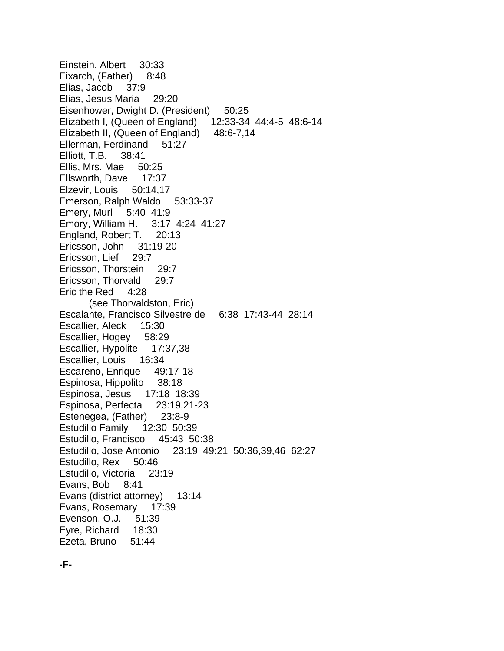Einstein, Albert 30:33 Eixarch, (Father) 8:48 Elias, Jacob 37:9 Elias, Jesus Maria 29:20 Eisenhower, Dwight D. (President) 50:25 Elizabeth I, (Queen of England) 12:33-34 44:4-5 48:6-14 Elizabeth II, (Queen of England) 48:6-7,14 Ellerman, Ferdinand 51:27 Elliott, T.B. 38:41 Ellis, Mrs. Mae 50:25 Ellsworth, Dave 17:37 Elzevir, Louis 50:14,17 Emerson, Ralph Waldo 53:33-37 Emery, Murl 5:40 41:9 Emory, William H. 3:17 4:24 41:27 England, Robert T. 20:13 Ericsson, John 31:19-20 Ericsson, Lief 29:7 Ericsson, Thorstein 29:7 Ericsson, Thorvald 29:7 Eric the Red 4:28 (see Thorvaldston, Eric) Escalante, Francisco Silvestre de 6:38 17:43-44 28:14 Escallier, Aleck 15:30 Escallier, Hogey 58:29 Escallier, Hypolite 17:37,38 Escallier, Louis 16:34 Escareno, Enrique 49:17-18 Espinosa, Hippolito 38:18 Espinosa, Jesus 17:18 18:39 Espinosa, Perfecta 23:19,21-23 Estenegea, (Father) 23:8-9 Estudillo Family 12:30 50:39 Estudillo, Francisco 45:43 50:38 Estudillo, Jose Antonio 23:19 49:21 50:36,39,46 62:27 Estudillo, Rex 50:46 Estudillo, Victoria 23:19 Evans, Bob 8:41 Evans (district attorney) 13:14 Evans, Rosemary 17:39 Evenson, O.J. 51:39 Eyre, Richard 18:30 Ezeta, Bruno 51:44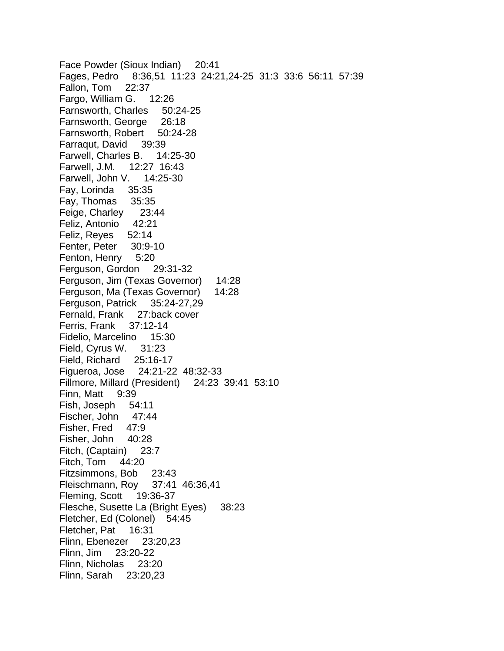Face Powder (Sioux Indian) 20:41 Fages, Pedro 8:36,51 11:23 24:21,24-25 31:3 33:6 56:11 57:39 Fallon, Tom 22:37 Fargo, William G. 12:26 Farnsworth, Charles 50:24-25 Farnsworth, George 26:18 Farnsworth, Robert 50:24-28 Farraqut, David 39:39 Farwell, Charles B. 14:25-30 Farwell, J.M. 12:27 16:43 Farwell, John V. 14:25-30 Fay, Lorinda 35:35 Fay, Thomas 35:35 Feige, Charley 23:44 Feliz, Antonio 42:21 Feliz, Reyes 52:14 Fenter, Peter 30:9-10 Fenton, Henry 5:20 Ferguson, Gordon 29:31-32 Ferguson, Jim (Texas Governor) 14:28 Ferguson, Ma (Texas Governor) 14:28 Ferguson, Patrick 35:24-27,29 Fernald, Frank 27:back cover Ferris, Frank 37:12-14 Fidelio, Marcelino 15:30 Field, Cyrus W. 31:23 Field, Richard 25:16-17 Figueroa, Jose 24:21-22 48:32-33 Fillmore, Millard (President) 24:23 39:41 53:10 Finn, Matt 9:39 Fish, Joseph 54:11 Fischer, John 47:44 Fisher, Fred 47:9 Fisher, John 40:28 Fitch, (Captain) 23:7 Fitch, Tom 44:20 Fitzsimmons, Bob 23:43 Fleischmann, Roy 37:41 46:36,41 Fleming, Scott 19:36-37 Flesche, Susette La (Bright Eyes) 38:23 Fletcher, Ed (Colonel) 54:45 Fletcher, Pat 16:31 Flinn, Ebenezer 23:20,23 Flinn, Jim 23:20-22 Flinn, Nicholas 23:20 Flinn, Sarah 23:20,23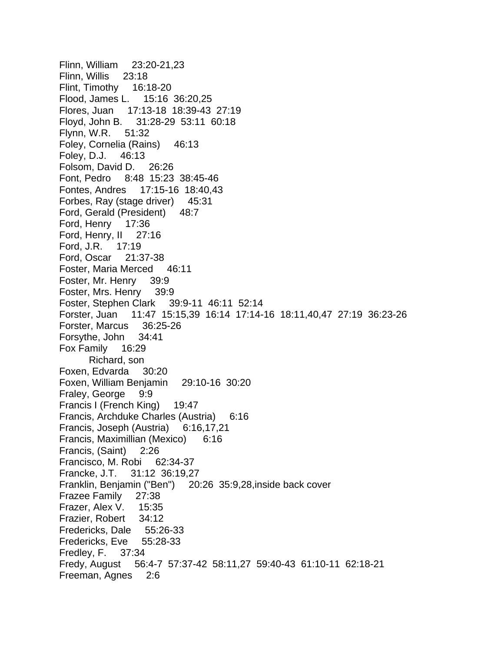Flinn, William 23:20-21,23 Flinn, Willis 23:18 Flint, Timothy 16:18-20 Flood, James L. 15:16 36:20,25 Flores, Juan 17:13-18 18:39-43 27:19 Floyd, John B. 31:28-29 53:11 60:18 Flynn, W.R. 51:32 Foley, Cornelia (Rains) 46:13 Foley, D.J. 46:13 Folsom, David D. 26:26 Font, Pedro 8:48 15:23 38:45-46 Fontes, Andres 17:15-16 18:40,43 Forbes, Ray (stage driver) 45:31 Ford, Gerald (President) 48:7 Ford, Henry 17:36 Ford, Henry, II 27:16 Ford, J.R. 17:19 Ford, Oscar 21:37-38 Foster, Maria Merced 46:11 Foster, Mr. Henry 39:9 Foster, Mrs. Henry 39:9 Foster, Stephen Clark 39:9-11 46:11 52:14 Forster, Juan 11:47 15:15,39 16:14 17:14-16 18:11,40,47 27:19 36:23-26 Forster, Marcus 36:25-26 Forsythe, John 34:41 Fox Family 16:29 Richard, son Foxen, Edvarda 30:20 Foxen, William Benjamin 29:10-16 30:20 Fraley, George 9:9 Francis I (French King) 19:47 Francis, Archduke Charles (Austria) 6:16 Francis, Joseph (Austria) 6:16,17,21 Francis, Maximillian (Mexico) 6:16 Francis, (Saint) 2:26 Francisco, M. Robi 62:34-37 Francke, J.T. 31:12 36:19,27 Franklin, Benjamin ("Ben") 20:26 35:9,28,inside back cover Frazee Family 27:38 Frazer, Alex V. 15:35 Frazier, Robert 34:12 Fredericks, Dale 55:26-33 Fredericks, Eve 55:28-33 Fredley, F. 37:34 Fredy, August 56:4-7 57:37-42 58:11,27 59:40-43 61:10-11 62:18-21 Freeman, Agnes 2:6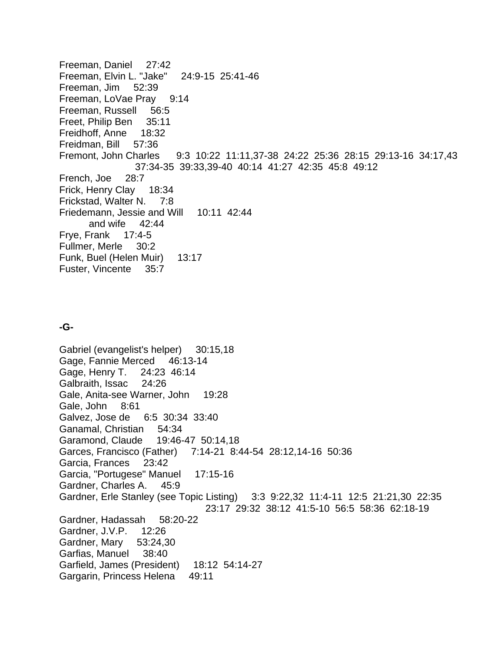Freeman, Daniel 27:42 Freeman, Elvin L. "Jake" 24:9-15 25:41-46 Freeman, Jim 52:39 Freeman, LoVae Pray 9:14 Freeman, Russell 56:5 Freet, Philip Ben 35:11 Freidhoff, Anne 18:32 Freidman, Bill 57:36 Fremont, John Charles 9:3 10:22 11:11,37-38 24:22 25:36 28:15 29:13-16 34:17,43 37:34-35 39:33,39-40 40:14 41:27 42:35 45:8 49:12 French, Joe 28:7 Frick, Henry Clay 18:34 Frickstad, Walter N. 7:8 Friedemann, Jessie and Will 10:11 42:44 and wife 42:44 Frye, Frank 17:4-5 Fullmer, Merle 30:2 Funk, Buel (Helen Muir) 13:17 Fuster, Vincente 35:7

# **-G-**

Gabriel (evangelist's helper) 30:15,18 Gage, Fannie Merced 46:13-14 Gage, Henry T. 24:23 46:14 Galbraith, Issac 24:26 Gale, Anita-see Warner, John 19:28 Gale, John 8:61 Galvez, Jose de 6:5 30:34 33:40 Ganamal, Christian 54:34 Garamond, Claude 19:46-47 50:14,18 Garces, Francisco (Father) 7:14-21 8:44-54 28:12,14-16 50:36 Garcia, Frances 23:42 Garcia, "Portugese" Manuel 17:15-16 Gardner, Charles A. 45:9 Gardner, Erle Stanley (see Topic Listing) 3:3 9:22,32 11:4-11 12:5 21:21,30 22:35 23:17 29:32 38:12 41:5-10 56:5 58:36 62:18-19 Gardner, Hadassah 58:20-22 Gardner, J.V.P. 12:26 Gardner, Mary 53:24,30 Garfias, Manuel 38:40 Garfield, James (President) 18:12 54:14-27 Gargarin, Princess Helena 49:11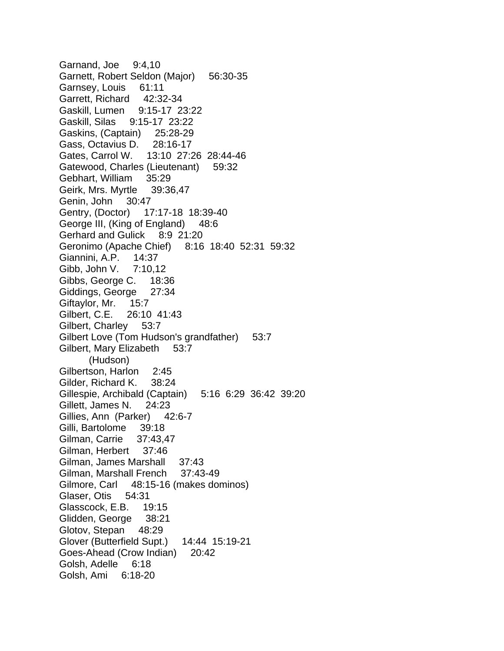Garnand, Joe 9:4,10 Garnett, Robert Seldon (Major) 56:30-35 Garnsey, Louis 61:11 Garrett, Richard 42:32-34 Gaskill, Lumen 9:15-17 23:22 Gaskill, Silas 9:15-17 23:22 Gaskins, (Captain) 25:28-29 Gass, Octavius D. 28:16-17 Gates, Carrol W. 13:10 27:26 28:44-46 Gatewood, Charles (Lieutenant) 59:32 Gebhart, William 35:29 Geirk, Mrs. Myrtle 39:36,47 Genin, John 30:47 Gentry, (Doctor) 17:17-18 18:39-40 George III, (King of England) 48:6 Gerhard and Gulick 8:9 21:20 Geronimo (Apache Chief) 8:16 18:40 52:31 59:32 Giannini, A.P. 14:37 Gibb, John V. 7:10,12 Gibbs, George C. 18:36 Giddings, George 27:34 Giftaylor, Mr. 15:7 Gilbert, C.E. 26:10 41:43 Gilbert, Charley 53:7 Gilbert Love (Tom Hudson's grandfather) 53:7 Gilbert, Mary Elizabeth 53:7 (Hudson) Gilbertson, Harlon 2:45 Gilder, Richard K. 38:24 Gillespie, Archibald (Captain) 5:16 6:29 36:42 39:20 Gillett, James N. 24:23 Gillies, Ann (Parker) 42:6-7 Gilli, Bartolome 39:18 Gilman, Carrie 37:43,47 Gilman, Herbert 37:46 Gilman, James Marshall 37:43 Gilman, Marshall French 37:43-49 Gilmore, Carl 48:15-16 (makes dominos) Glaser, Otis 54:31 Glasscock, E.B. 19:15 Glidden, George 38:21 Glotov, Stepan 48:29 Glover (Butterfield Supt.) 14:44 15:19-21 Goes-Ahead (Crow Indian) 20:42 Golsh, Adelle 6:18 Golsh, Ami 6:18-20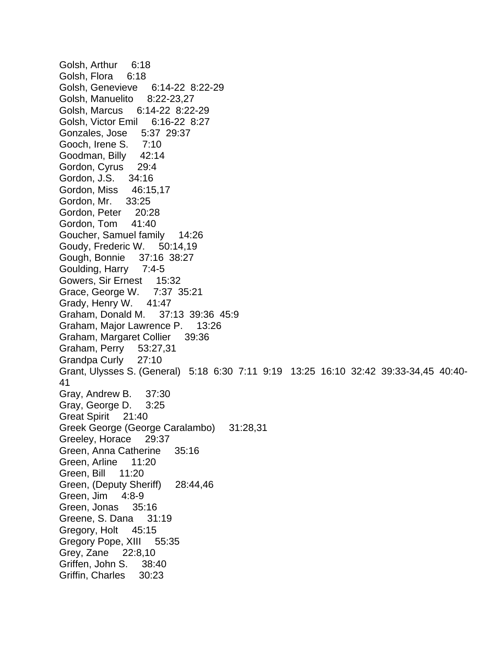Golsh, Arthur 6:18 Golsh, Flora 6:18 Golsh, Genevieve 6:14-22 8:22-29 Golsh, Manuelito 8:22-23,27 Golsh, Marcus 6:14-22 8:22-29 Golsh, Victor Emil 6:16-22 8:27 Gonzales, Jose 5:37 29:37 Gooch, Irene S. 7:10 Goodman, Billy 42:14 Gordon, Cyrus 29:4 Gordon, J.S. 34:16 Gordon, Miss 46:15,17 Gordon, Mr. 33:25 Gordon, Peter 20:28 Gordon, Tom 41:40 Goucher, Samuel family 14:26 Goudy, Frederic W. 50:14,19 Gough, Bonnie 37:16 38:27 Goulding, Harry 7:4-5 Gowers, Sir Ernest 15:32 Grace, George W. 7:37 35:21 Grady, Henry W. 41:47 Graham, Donald M. 37:13 39:36 45:9 Graham, Major Lawrence P. 13:26 Graham, Margaret Collier 39:36 Graham, Perry 53:27,31 Grandpa Curly 27:10 Grant, Ulysses S. (General) 5:18 6:30 7:11 9:19 13:25 16:10 32:42 39:33-34,45 40:40- 41 Gray, Andrew B. 37:30 Gray, George D. 3:25 Great Spirit 21:40 Greek George (George Caralambo) 31:28,31 Greeley, Horace 29:37 Green, Anna Catherine 35:16 Green, Arline 11:20 Green, Bill 11:20 Green, (Deputy Sheriff) 28:44,46 Green, Jim 4:8-9 Green, Jonas 35:16 Greene, S. Dana 31:19 Gregory, Holt 45:15 Gregory Pope, XIII 55:35 Grey, Zane 22:8,10 Griffen, John S. 38:40 Griffin, Charles 30:23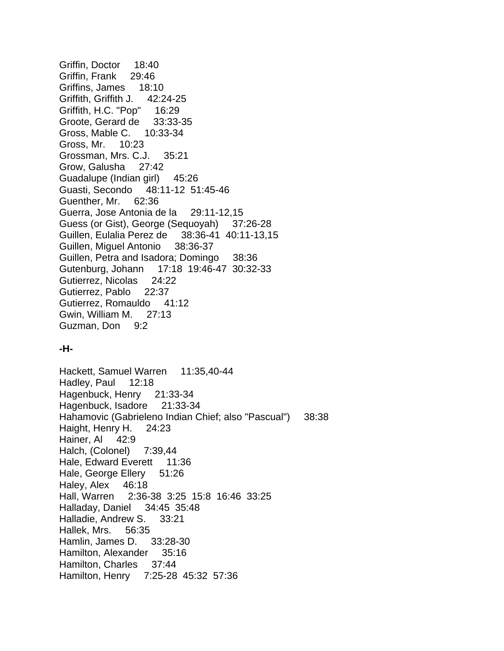Griffin, Doctor 18:40 Griffin, Frank 29:46 Griffins, James 18:10 Griffith, Griffith J. 42:24-25 Griffith, H.C. "Pop" 16:29 Groote, Gerard de 33:33-35 Gross, Mable C. 10:33-34 Gross, Mr. 10:23 Grossman, Mrs. C.J. 35:21 Grow, Galusha 27:42 Guadalupe (Indian girl) 45:26 Guasti, Secondo 48:11-12 51:45-46 Guenther, Mr. 62:36 Guerra, Jose Antonia de la 29:11-12,15 Guess (or Gist), George (Sequoyah) 37:26-28 Guillen, Eulalia Perez de 38:36-41 40:11-13,15 Guillen, Miguel Antonio 38:36-37 Guillen, Petra and Isadora; Domingo 38:36 Gutenburg, Johann 17:18 19:46-47 30:32-33 Gutierrez, Nicolas 24:22 Gutierrez, Pablo 22:37 Gutierrez, Romauldo 41:12 Gwin, William M. 27:13 Guzman, Don 9:2

## **-H-**

Hackett, Samuel Warren 11:35,40-44 Hadley, Paul 12:18 Hagenbuck, Henry 21:33-34 Hagenbuck, Isadore 21:33-34 Hahamovic (Gabrieleno Indian Chief; also "Pascual") 38:38 Haight, Henry H. 24:23 Hainer, Al 42:9 Halch, (Colonel) 7:39,44 Hale, Edward Everett 11:36 Hale, George Ellery 51:26 Haley, Alex 46:18 Hall, Warren 2:36-38 3:25 15:8 16:46 33:25 Halladay, Daniel 34:45 35:48 Halladie, Andrew S. 33:21 Hallek, Mrs. 56:35 Hamlin, James D. 33:28-30 Hamilton, Alexander 35:16 Hamilton, Charles 37:44 Hamilton, Henry 7:25-28 45:32 57:36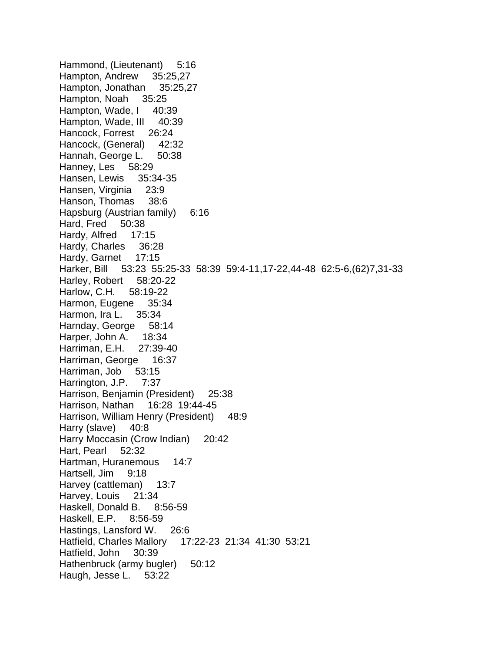Hammond, (Lieutenant) 5:16 Hampton, Andrew 35:25,27 Hampton, Jonathan 35:25,27 Hampton, Noah 35:25 Hampton, Wade, I 40:39 Hampton, Wade, III 40:39 Hancock, Forrest 26:24 Hancock, (General) 42:32 Hannah, George L. 50:38 Hanney, Les 58:29 Hansen, Lewis 35:34-35 Hansen, Virginia 23:9 Hanson, Thomas 38:6 Hapsburg (Austrian family) 6:16 Hard, Fred 50:38 Hardy, Alfred 17:15 Hardy, Charles 36:28 Hardy, Garnet 17:15 Harker, Bill 53:23 55:25-33 58:39 59:4-11,17-22,44-48 62:5-6,(62)7,31-33 Harley, Robert 58:20-22 Harlow, C.H. 58:19-22 Harmon, Eugene 35:34 Harmon, Ira L. 35:34 Harnday, George 58:14 Harper, John A. 18:34 Harriman, E.H. 27:39-40 Harriman, George 16:37 Harriman, Job 53:15 Harrington, J.P. 7:37 Harrison, Benjamin (President) 25:38 Harrison, Nathan 16:28 19:44-45 Harrison, William Henry (President) 48:9 Harry (slave) 40:8 Harry Moccasin (Crow Indian) 20:42 Hart, Pearl 52:32 Hartman, Huranemous 14:7 Hartsell, Jim 9:18 Harvey (cattleman) 13:7 Harvey, Louis 21:34 Haskell, Donald B. 8:56-59 Haskell, E.P. 8:56-59 Hastings, Lansford W. 26:6 Hatfield, Charles Mallory 17:22-23 21:34 41:30 53:21 Hatfield, John 30:39 Hathenbruck (army bugler) 50:12 Haugh, Jesse L. 53:22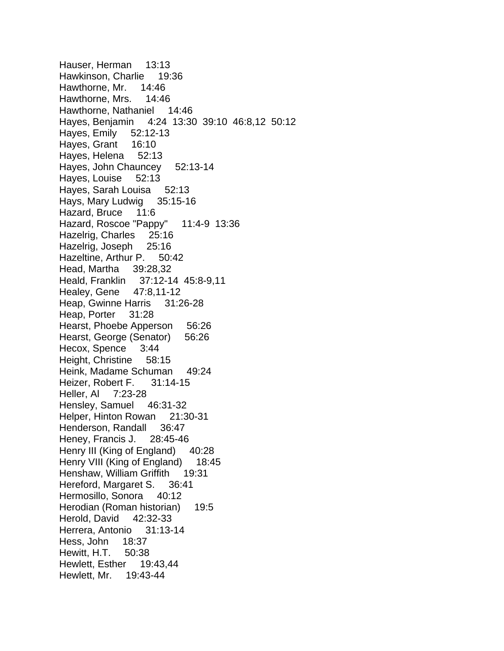Hauser, Herman 13:13 Hawkinson, Charlie 19:36 Hawthorne, Mr. 14:46 Hawthorne, Mrs. 14:46 Hawthorne, Nathaniel 14:46 Hayes, Benjamin 4:24 13:30 39:10 46:8,12 50:12 Hayes, Emily 52:12-13 Hayes, Grant 16:10 Hayes, Helena 52:13 Hayes, John Chauncey 52:13-14 Hayes, Louise 52:13 Hayes, Sarah Louisa 52:13 Hays, Mary Ludwig 35:15-16 Hazard, Bruce 11:6 Hazard, Roscoe "Pappy" 11:4-9 13:36 Hazelrig, Charles 25:16 Hazelrig, Joseph 25:16 Hazeltine, Arthur P. 50:42 Head, Martha 39:28,32 Heald, Franklin 37:12-14 45:8-9,11 Healey, Gene 47:8,11-12 Heap, Gwinne Harris 31:26-28 Heap, Porter 31:28 Hearst, Phoebe Apperson 56:26 Hearst, George (Senator) 56:26 Hecox, Spence 3:44 Height, Christine 58:15 Heink, Madame Schuman 49:24 Heizer, Robert F. 31:14-15 Heller, Al 7:23-28 Hensley, Samuel 46:31-32 Helper, Hinton Rowan 21:30-31 Henderson, Randall 36:47 Heney, Francis J. 28:45-46 Henry III (King of England) 40:28 Henry VIII (King of England) 18:45 Henshaw, William Griffith 19:31 Hereford, Margaret S. 36:41 Hermosillo, Sonora 40:12 Herodian (Roman historian) 19:5 Herold, David 42:32-33 Herrera, Antonio 31:13-14 Hess, John 18:37 Hewitt, H.T. 50:38 Hewlett, Esther 19:43,44 Hewlett, Mr. 19:43-44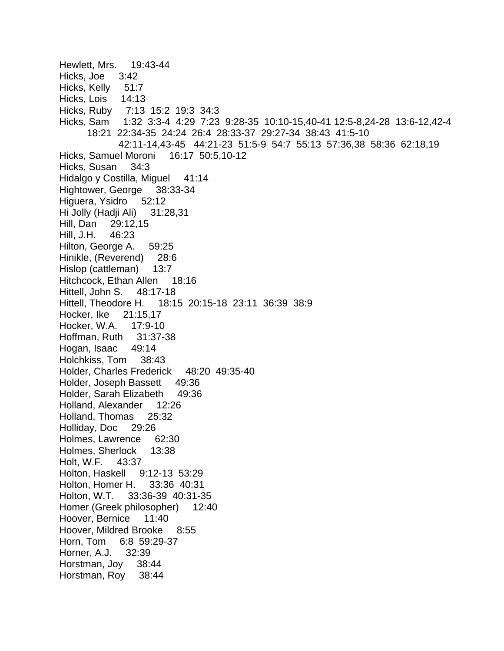Hewlett, Mrs. 19:43-44 Hicks, Joe 3:42 Hicks, Kelly 51:7 Hicks, Lois 14:13 Hicks, Ruby 7:13 15:2 19:3 34:3 Hicks, Sam 1:32 3:3-4 4:29 7:23 9:28-35 10:10-15,40-41 12:5-8,24-28 13:6-12,42-4 18:21 22:34-35 24:24 26:4 28:33-37 29:27-34 38:43 41:5-10 42:11-14,43-45 44:21-23 51:5-9 54:7 55:13 57:36,38 58:36 62:18,19 Hicks, Samuel Moroni 16:17 50:5,10-12 Hicks, Susan 34:3 Hidalgo y Costilla, Miguel 41:14 Hightower, George 38:33-34 Higuera, Ysidro 52:12 Hi Jolly (Hadji Ali) 31:28,31 Hill, Dan 29:12,15 Hill, J.H. 46:23 Hilton, George A. 59:25 Hinikle, (Reverend) 28:6 Hislop (cattleman) 13:7 Hitchcock, Ethan Allen 18:16 Hittell, John S. 48:17-18 Hittell, Theodore H. 18:15 20:15-18 23:11 36:39 38:9 Hocker, Ike 21:15,17 Hocker, W.A. 17:9-10 Hoffman, Ruth 31:37-38 Hogan, Isaac 49:14 Holchkiss, Tom 38:43 Holder, Charles Frederick 48:20 49:35-40 Holder, Joseph Bassett 49:36 Holder, Sarah Elizabeth 49:36 Holland, Alexander 12:26 Holland, Thomas 25:32 Holliday, Doc 29:26 Holmes, Lawrence 62:30 Holmes, Sherlock 13:38 Holt, W.F. 43:37 Holton, Haskell 9:12-13 53:29 Holton, Homer H. 33:36 40:31 Holton, W.T. 33:36-39 40:31-35 Homer (Greek philosopher) 12:40 Hoover, Bernice 11:40 Hoover, Mildred Brooke 8:55 Horn, Tom 6:8 59:29-37 Horner, A.J. 32:39 Horstman, Joy 38:44 Horstman, Roy 38:44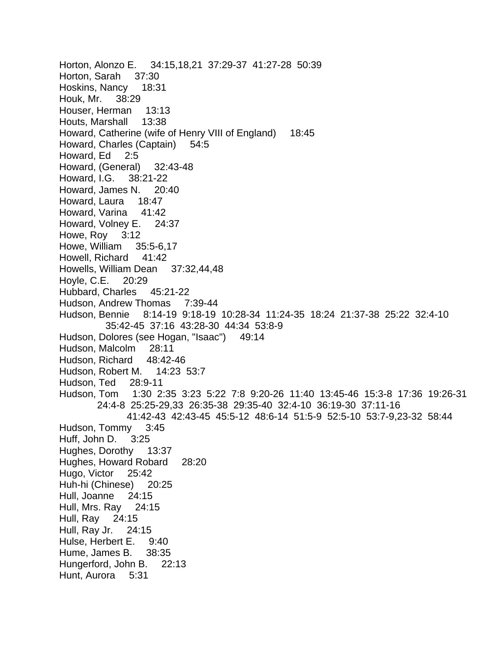Horton, Alonzo E. 34:15,18,21 37:29-37 41:27-28 50:39 Horton, Sarah 37:30 Hoskins, Nancy 18:31 Houk, Mr. 38:29 Houser, Herman 13:13 Houts, Marshall 13:38 Howard, Catherine (wife of Henry VIII of England) 18:45 Howard, Charles (Captain) 54:5 Howard, Ed 2:5 Howard, (General) 32:43-48 Howard, I.G. 38:21-22 Howard, James N. 20:40 Howard, Laura 18:47 Howard, Varina 41:42 Howard, Volney E. 24:37 Howe, Roy 3:12 Howe, William 35:5-6,17 Howell, Richard 41:42 Howells, William Dean 37:32,44,48 Hoyle, C.E. 20:29 Hubbard, Charles 45:21-22 Hudson, Andrew Thomas 7:39-44 Hudson, Bennie 8:14-19 9:18-19 10:28-34 11:24-35 18:24 21:37-38 25:22 32:4-10 35:42-45 37:16 43:28-30 44:34 53:8-9 Hudson, Dolores (see Hogan, "Isaac") 49:14 Hudson, Malcolm 28:11 Hudson, Richard 48:42-46 Hudson, Robert M. 14:23 53:7 Hudson, Ted 28:9-11 Hudson, Tom 1:30 2:35 3:23 5:22 7:8 9:20-26 11:40 13:45-46 15:3-8 17:36 19:26-31 24:4-8 25:25-29,33 26:35-38 29:35-40 32:4-10 36:19-30 37:11-16 41:42-43 42:43-45 45:5-12 48:6-14 51:5-9 52:5-10 53:7-9,23-32 58:44 Hudson, Tommy 3:45 Huff, John D. 3:25 Hughes, Dorothy 13:37 Hughes, Howard Robard 28:20 Hugo, Victor 25:42 Huh-hi (Chinese) 20:25 Hull, Joanne 24:15 Hull, Mrs. Ray 24:15 Hull, Ray 24:15 Hull, Ray Jr. 24:15 Hulse, Herbert E. 9:40 Hume, James B. 38:35 Hungerford, John B. 22:13 Hunt, Aurora 5:31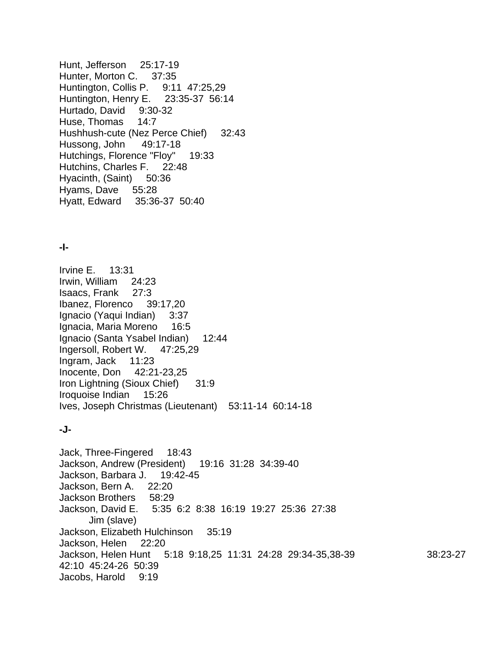Hunt, Jefferson 25:17-19 Hunter, Morton C. 37:35 Huntington, Collis P. 9:11 47:25,29 Huntington, Henry E. 23:35-37 56:14 Hurtado, David 9:30-32 Huse, Thomas 14:7 Hushhush-cute (Nez Perce Chief) 32:43 Hussong, John 49:17-18 Hutchings, Florence "Floy" 19:33 Hutchins, Charles F. 22:48 Hyacinth, (Saint) 50:36 Hyams, Dave 55:28 Hyatt, Edward 35:36-37 50:40

#### **-I-**

Irvine E. 13:31 Irwin, William 24:23 Isaacs, Frank 27:3 Ibanez, Florenco 39:17,20 Ignacio (Yaqui Indian) 3:37 Ignacia, Maria Moreno 16:5 Ignacio (Santa Ysabel Indian) 12:44 Ingersoll, Robert W. 47:25,29 Ingram, Jack 11:23 Inocente, Don 42:21-23,25 Iron Lightning (Sioux Chief) 31:9 Iroquoise Indian 15:26 Ives, Joseph Christmas (Lieutenant) 53:11-14 60:14-18

## **-J-**

Jack, Three-Fingered 18:43 Jackson, Andrew (President) 19:16 31:28 34:39-40 Jackson, Barbara J. 19:42-45 Jackson, Bern A. 22:20 Jackson Brothers 58:29 Jackson, David E. 5:35 6:2 8:38 16:19 19:27 25:36 27:38 Jim (slave) Jackson, Elizabeth Hulchinson 35:19 Jackson, Helen 22:20 Jackson, Helen Hunt 5:18 9:18,25 11:31 24:28 29:34-35,38-39 38:23-27 42:10 45:24-26 50:39 Jacobs, Harold 9:19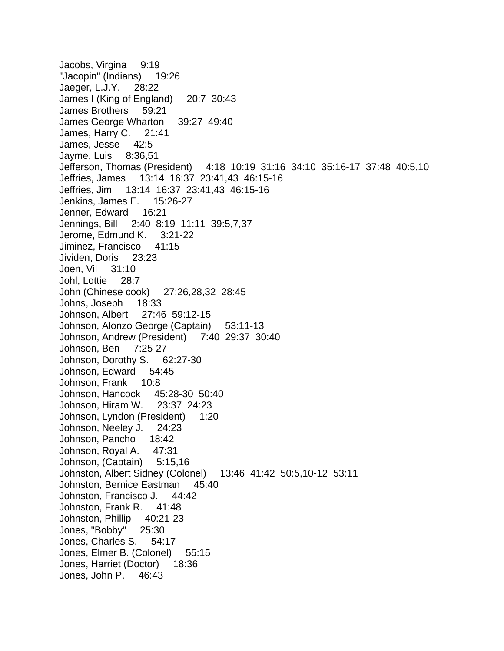Jacobs, Virgina 9:19 "Jacopin" (Indians) 19:26 Jaeger, L.J.Y. 28:22 James I (King of England) 20:7 30:43 James Brothers 59:21 James George Wharton 39:27 49:40 James, Harry C. 21:41 James, Jesse 42:5 Jayme, Luis 8:36,51 Jefferson, Thomas (President) 4:18 10:19 31:16 34:10 35:16-17 37:48 40:5,10 Jeffries, James 13:14 16:37 23:41,43 46:15-16 Jeffries, Jim 13:14 16:37 23:41,43 46:15-16 Jenkins, James E. 15:26-27 Jenner, Edward 16:21 Jennings, Bill 2:40 8:19 11:11 39:5,7,37 Jerome, Edmund K. 3:21-22 Jiminez, Francisco 41:15 Jividen, Doris 23:23 Joen, Vil 31:10 Johl, Lottie 28:7 John (Chinese cook) 27:26,28,32 28:45 Johns, Joseph 18:33 Johnson, Albert 27:46 59:12-15 Johnson, Alonzo George (Captain) 53:11-13 Johnson, Andrew (President) 7:40 29:37 30:40 Johnson, Ben 7:25-27 Johnson, Dorothy S. 62:27-30 Johnson, Edward 54:45 Johnson, Frank 10:8 Johnson, Hancock 45:28-30 50:40 Johnson, Hiram W. 23:37 24:23 Johnson, Lyndon (President) 1:20 Johnson, Neeley J. 24:23 Johnson, Pancho 18:42 Johnson, Royal A. 47:31 Johnson, (Captain) 5:15,16 Johnston, Albert Sidney (Colonel) 13:46 41:42 50:5,10-12 53:11 Johnston, Bernice Eastman 45:40 Johnston, Francisco J. 44:42 Johnston, Frank R. 41:48 Johnston, Phillip 40:21-23 Jones, "Bobby" 25:30 Jones, Charles S. 54:17 Jones, Elmer B. (Colonel) 55:15 Jones, Harriet (Doctor) 18:36 Jones, John P. 46:43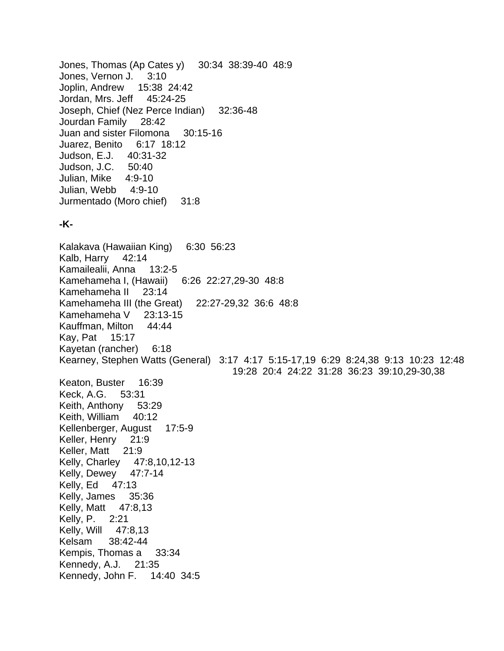Jones, Thomas (Ap Cates y) 30:34 38:39-40 48:9 Jones, Vernon J. 3:10 Joplin, Andrew 15:38 24:42 Jordan, Mrs. Jeff 45:24-25 Joseph, Chief (Nez Perce Indian) 32:36-48 Jourdan Family 28:42 Juan and sister Filomona 30:15-16 Juarez, Benito 6:17 18:12 Judson, E.J. 40:31-32 Judson, J.C. 50:40 Julian, Mike 4:9-10 Julian, Webb 4:9-10 Jurmentado (Moro chief) 31:8

## **-K-**

Kalakava (Hawaiian King) 6:30 56:23 Kalb, Harry 42:14 Kamailealii, Anna 13:2-5 Kamehameha I, (Hawaii) 6:26 22:27,29-30 48:8 Kamehameha II 23:14 Kamehameha III (the Great) 22:27-29,32 36:6 48:8 Kamehameha V 23:13-15 Kauffman, Milton 44:44 Kay, Pat 15:17 Kayetan (rancher) 6:18 Kearney, Stephen Watts (General) 3:17 4:17 5:15-17,19 6:29 8:24,38 9:13 10:23 12:48 19:28 20:4 24:22 31:28 36:23 39:10,29-30,38 Keaton, Buster 16:39 Keck, A.G. 53:31 Keith, Anthony 53:29 Keith, William 40:12 Kellenberger, August 17:5-9 Keller, Henry 21:9 Keller, Matt 21:9 Kelly, Charley 47:8,10,12-13 Kelly, Dewey 47:7-14 Kelly, Ed 47:13 Kelly, James 35:36 Kelly, Matt 47:8,13 Kelly, P. 2:21 Kelly, Will 47:8,13 Kelsam 38:42-44 Kempis, Thomas a 33:34 Kennedy, A.J. 21:35 Kennedy, John F. 14:40 34:5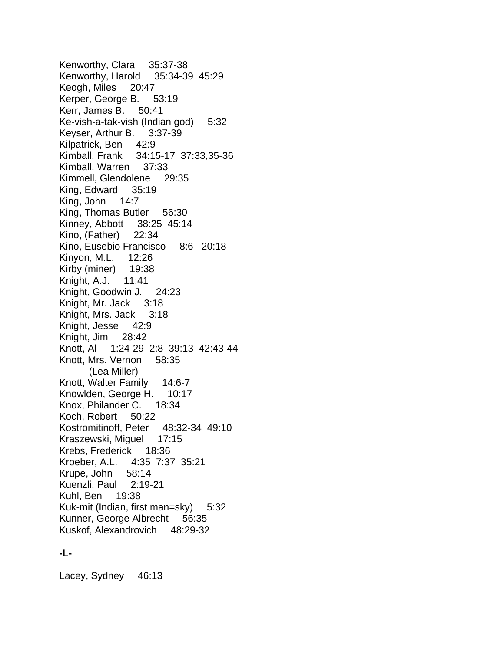Kenworthy, Clara 35:37-38 Kenworthy, Harold 35:34-39 45:29 Keogh, Miles 20:47 Kerper, George B. 53:19 Kerr, James B. 50:41 Ke-vish-a-tak-vish (Indian god) 5:32 Keyser, Arthur B. 3:37-39 Kilpatrick, Ben 42:9 Kimball, Frank 34:15-17 37:33,35-36 Kimball, Warren 37:33 Kimmell, Glendolene 29:35 King, Edward 35:19 King, John 14:7 King, Thomas Butler 56:30 Kinney, Abbott 38:25 45:14 Kino, (Father) 22:34 Kino, Eusebio Francisco 8:6 20:18 Kinyon, M.L. 12:26 Kirby (miner) 19:38 Knight, A.J. 11:41 Knight, Goodwin J. 24:23 Knight, Mr. Jack 3:18 Knight, Mrs. Jack 3:18 Knight, Jesse 42:9 Knight, Jim 28:42 Knott, Al 1:24-29 2:8 39:13 42:43-44 Knott, Mrs. Vernon 58:35 (Lea Miller) Knott, Walter Family 14:6-7 Knowlden, George H. 10:17 Knox, Philander C. 18:34 Koch, Robert 50:22 Kostromitinoff, Peter 48:32-34 49:10 Kraszewski, Miguel 17:15 Krebs, Frederick 18:36 Kroeber, A.L. 4:35 7:37 35:21 Krupe, John 58:14 Kuenzli, Paul 2:19-21 Kuhl, Ben 19:38 Kuk-mit (Indian, first man=sky) 5:32 Kunner, George Albrecht 56:35 Kuskof, Alexandrovich 48:29-32

#### **-L-**

Lacey, Sydney 46:13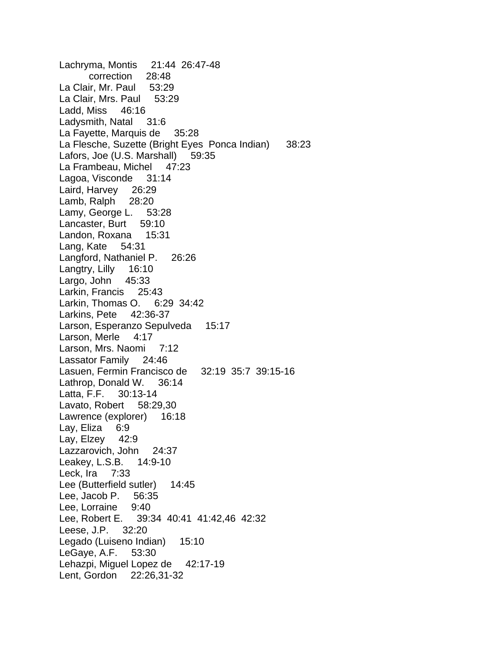Lachryma, Montis 21:44 26:47-48 correction 28:48 La Clair, Mr. Paul 53:29 La Clair, Mrs. Paul 53:29 Ladd, Miss 46:16 Ladysmith, Natal 31:6 La Fayette, Marquis de 35:28 La Flesche, Suzette (Bright Eyes Ponca Indian) 38:23 Lafors, Joe (U.S. Marshall) 59:35 La Frambeau, Michel 47:23 Lagoa, Visconde 31:14 Laird, Harvey 26:29 Lamb, Ralph 28:20 Lamy, George L. 53:28 Lancaster, Burt 59:10 Landon, Roxana 15:31 Lang, Kate 54:31 Langford, Nathaniel P. 26:26 Langtry, Lilly 16:10 Largo, John 45:33 Larkin, Francis 25:43 Larkin, Thomas O. 6:29 34:42 Larkins, Pete 42:36-37 Larson, Esperanzo Sepulveda 15:17 Larson, Merle 4:17 Larson, Mrs. Naomi 7:12 Lassator Family 24:46 Lasuen, Fermin Francisco de 32:19 35:7 39:15-16 Lathrop, Donald W. 36:14 Latta, F.F. 30:13-14 Lavato, Robert 58:29,30 Lawrence (explorer) 16:18 Lay, Eliza 6:9 Lay, Elzey 42:9 Lazzarovich, John 24:37 Leakey, L.S.B. 14:9-10 Leck, Ira 7:33 Lee (Butterfield sutler) 14:45 Lee, Jacob P. 56:35 Lee, Lorraine 9:40 Lee, Robert E. 39:34 40:41 41:42,46 42:32 Leese, J.P. 32:20 Legado (Luiseno Indian) 15:10 LeGaye, A.F. 53:30 Lehazpi, Miguel Lopez de 42:17-19 Lent, Gordon 22:26,31-32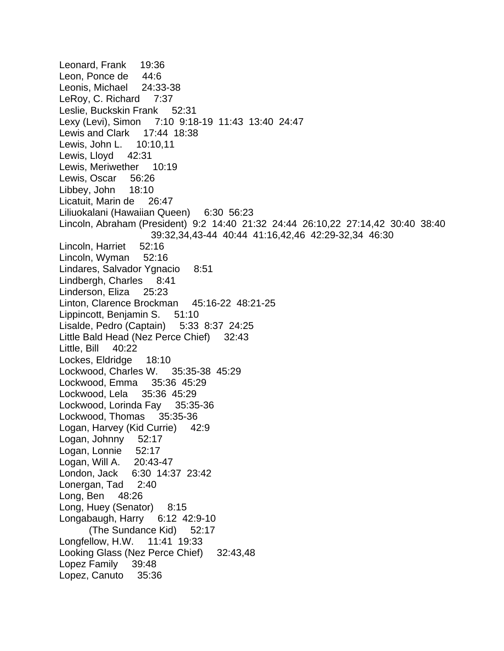Leonard, Frank 19:36 Leon, Ponce de 44:6 Leonis, Michael 24:33-38 LeRoy, C. Richard 7:37 Leslie, Buckskin Frank 52:31 Lexy (Levi), Simon 7:10 9:18-19 11:43 13:40 24:47 Lewis and Clark 17:44 18:38 Lewis, John L. 10:10,11 Lewis, Lloyd 42:31 Lewis, Meriwether 10:19 Lewis, Oscar 56:26 Libbey, John 18:10 Licatuit, Marin de 26:47 Liliuokalani (Hawaiian Queen) 6:30 56:23 Lincoln, Abraham (President) 9:2 14:40 21:32 24:44 26:10,22 27:14,42 30:40 38:40 39:32,34,43-44 40:44 41:16,42,46 42:29-32,34 46:30 Lincoln, Harriet 52:16 Lincoln, Wyman 52:16 Lindares, Salvador Ygnacio 8:51 Lindbergh, Charles 8:41 Linderson, Eliza 25:23 Linton, Clarence Brockman 45:16-22 48:21-25 Lippincott, Benjamin S. 51:10 Lisalde, Pedro (Captain) 5:33 8:37 24:25 Little Bald Head (Nez Perce Chief) 32:43 Little, Bill 40:22 Lockes, Eldridge 18:10 Lockwood, Charles W. 35:35-38 45:29 Lockwood, Emma 35:36 45:29 Lockwood, Lela 35:36 45:29 Lockwood, Lorinda Fay 35:35-36 Lockwood, Thomas 35:35-36 Logan, Harvey (Kid Currie) 42:9 Logan, Johnny 52:17 Logan, Lonnie 52:17 Logan, Will A. 20:43-47 London, Jack 6:30 14:37 23:42 Lonergan, Tad 2:40 Long, Ben 48:26 Long, Huey (Senator) 8:15 Longabaugh, Harry 6:12 42:9-10 (The Sundance Kid) 52:17 Longfellow, H.W. 11:41 19:33 Looking Glass (Nez Perce Chief) 32:43,48 Lopez Family 39:48 Lopez, Canuto 35:36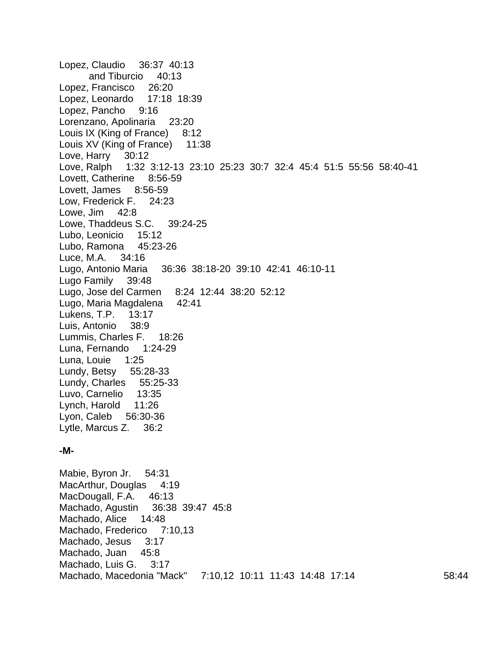Lopez, Claudio 36:37 40:13 and Tiburcio 40:13 Lopez, Francisco 26:20 Lopez, Leonardo 17:18 18:39 Lopez, Pancho 9:16 Lorenzano, Apolinaria 23:20 Louis IX (King of France) 8:12 Louis XV (King of France) 11:38 Love, Harry 30:12 Love, Ralph 1:32 3:12-13 23:10 25:23 30:7 32:4 45:4 51:5 55:56 58:40-41 Lovett, Catherine 8:56-59 Lovett, James 8:56-59 Low, Frederick F. 24:23 Lowe, Jim 42:8 Lowe, Thaddeus S.C. 39:24-25 Lubo, Leonicio 15:12 Lubo, Ramona 45:23-26 Luce, M.A. 34:16 Lugo, Antonio Maria 36:36 38:18-20 39:10 42:41 46:10-11 Lugo Family 39:48 Lugo, Jose del Carmen 8:24 12:44 38:20 52:12 Lugo, Maria Magdalena 42:41 Lukens, T.P. 13:17 Luis, Antonio 38:9 Lummis, Charles F. 18:26 Luna, Fernando 1:24-29 Luna, Louie 1:25 Lundy, Betsy 55:28-33 Lundy, Charles 55:25-33 Luvo, Carnelio 13:35 Lynch, Harold 11:26 Lyon, Caleb 56:30-36 Lytle, Marcus Z. 36:2

#### **-M-**

Mabie, Byron Jr. 54:31 MacArthur, Douglas 4:19 MacDougall, F.A. 46:13 Machado, Agustin 36:38 39:47 45:8 Machado, Alice 14:48 Machado, Frederico 7:10,13 Machado, Jesus 3:17 Machado, Juan 45:8 Machado, Luis G. 3:17 Machado, Macedonia "Mack" 7:10,12 10:11 11:43 14:48 17:14 58:44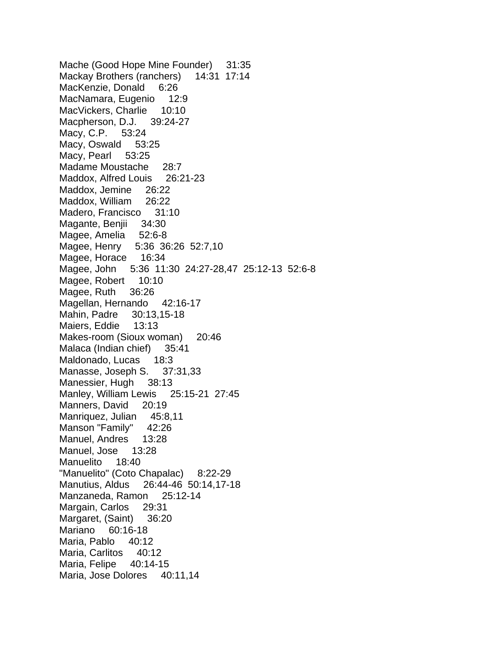Mache (Good Hope Mine Founder) 31:35 Mackay Brothers (ranchers) 14:31 17:14 MacKenzie, Donald 6:26 MacNamara, Eugenio 12:9 MacVickers, Charlie 10:10 Macpherson, D.J. 39:24-27 Macy, C.P. 53:24 Macy, Oswald 53:25 Macy, Pearl 53:25 Madame Moustache 28:7 Maddox, Alfred Louis 26:21-23 Maddox, Jemine 26:22 Maddox, William 26:22 Madero, Francisco 31:10 Magante, Benjii 34:30 Magee, Amelia 52:6-8 Magee, Henry 5:36 36:26 52:7,10 Magee, Horace 16:34 Magee, John 5:36 11:30 24:27-28,47 25:12-13 52:6-8 Magee, Robert 10:10 Magee, Ruth 36:26 Magellan, Hernando 42:16-17 Mahin, Padre 30:13,15-18 Maiers, Eddie 13:13 Makes-room (Sioux woman) 20:46 Malaca (Indian chief) 35:41 Maldonado, Lucas 18:3 Manasse, Joseph S. 37:31,33 Manessier, Hugh 38:13 Manley, William Lewis 25:15-21 27:45 Manners, David 20:19 Manriquez, Julian 45:8,11 Manson "Family" 42:26 Manuel, Andres 13:28 Manuel, Jose 13:28 Manuelito 18:40 "Manuelito" (Coto Chapalac) 8:22-29 Manutius, Aldus 26:44-46 50:14,17-18 Manzaneda, Ramon 25:12-14 Margain, Carlos 29:31 Margaret, (Saint) 36:20 Mariano 60:16-18 Maria, Pablo 40:12 Maria, Carlitos 40:12 Maria, Felipe 40:14-15 Maria, Jose Dolores 40:11,14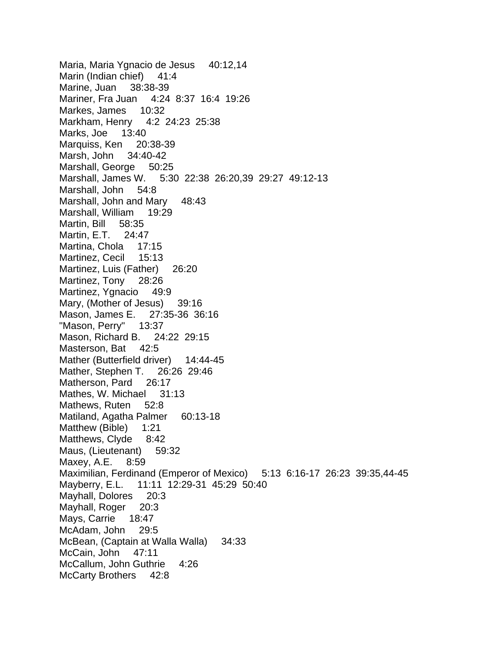Maria, Maria Ygnacio de Jesus 40:12,14 Marin (Indian chief) 41:4 Marine, Juan 38:38-39 Mariner, Fra Juan 4:24 8:37 16:4 19:26 Markes, James 10:32 Markham, Henry 4:2 24:23 25:38 Marks, Joe 13:40 Marquiss, Ken 20:38-39 Marsh, John 34:40-42 Marshall, George 50:25 Marshall, James W. 5:30 22:38 26:20,39 29:27 49:12-13 Marshall, John 54:8 Marshall, John and Mary 48:43 Marshall, William 19:29 Martin, Bill 58:35 Martin, E.T. 24:47 Martina, Chola 17:15 Martinez, Cecil 15:13 Martinez, Luis (Father) 26:20 Martinez, Tony 28:26 Martinez, Ygnacio 49:9 Mary, (Mother of Jesus) 39:16 Mason, James E. 27:35-36 36:16 "Mason, Perry" 13:37 Mason, Richard B. 24:22 29:15 Masterson, Bat 42:5 Mather (Butterfield driver) 14:44-45 Mather, Stephen T. 26:26 29:46 Matherson, Pard 26:17 Mathes, W. Michael 31:13 Mathews, Ruten 52:8 Matiland, Agatha Palmer 60:13-18 Matthew (Bible) 1:21 Matthews, Clyde 8:42 Maus, (Lieutenant) 59:32 Maxey, A.E. 8:59 Maximilian, Ferdinand (Emperor of Mexico) 5:13 6:16-17 26:23 39:35,44-45 Mayberry, E.L. 11:11 12:29-31 45:29 50:40 Mayhall, Dolores 20:3 Mayhall, Roger 20:3 Mays, Carrie 18:47 McAdam, John 29:5 McBean, (Captain at Walla Walla) 34:33 McCain, John 47:11 McCallum, John Guthrie 4:26 McCarty Brothers 42:8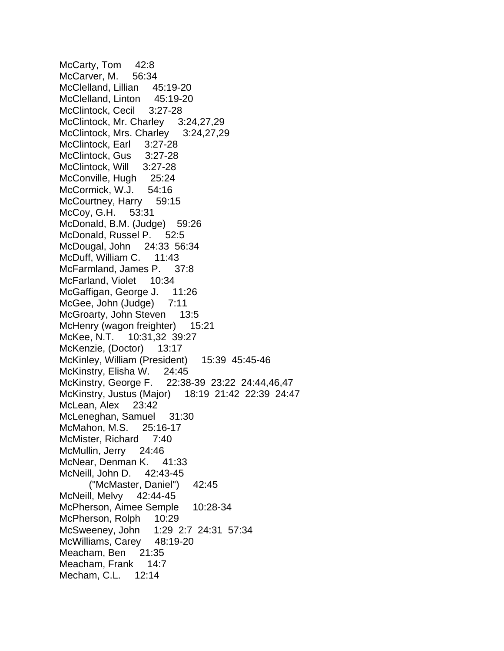McCarty, Tom 42:8 McCarver, M. 56:34 McClelland, Lillian 45:19-20 McClelland, Linton 45:19-20 McClintock, Cecil 3:27-28 McClintock, Mr. Charley 3:24,27,29 McClintock, Mrs. Charley 3:24,27,29 McClintock, Earl 3:27-28 McClintock, Gus 3:27-28 McClintock, Will 3:27-28 McConville, Hugh 25:24 McCormick, W.J. 54:16 McCourtney, Harry 59:15 McCoy, G.H. 53:31 McDonald, B.M. (Judge) 59:26 McDonald, Russel P. 52:5 McDougal, John 24:33 56:34 McDuff, William C. 11:43 McFarmland, James P. 37:8 McFarland, Violet 10:34 McGaffigan, George J. 11:26 McGee, John (Judge) 7:11 McGroarty, John Steven 13:5 McHenry (wagon freighter) 15:21 McKee, N.T. 10:31,32 39:27 McKenzie, (Doctor) 13:17 McKinley, William (President) 15:39 45:45-46 McKinstry, Elisha W. 24:45 McKinstry, George F. 22:38-39 23:22 24:44,46,47 McKinstry, Justus (Major) 18:19 21:42 22:39 24:47 McLean, Alex 23:42 McLeneghan, Samuel 31:30 McMahon, M.S. 25:16-17 McMister, Richard 7:40 McMullin, Jerry 24:46 McNear, Denman K. 41:33 McNeill, John D. 42:43-45 ("McMaster, Daniel") 42:45 McNeill, Melvy 42:44-45 McPherson, Aimee Semple 10:28-34 McPherson, Rolph 10:29 McSweeney, John 1:29 2:7 24:31 57:34 McWilliams, Carey 48:19-20 Meacham, Ben 21:35 Meacham, Frank 14:7 Mecham, C.L. 12:14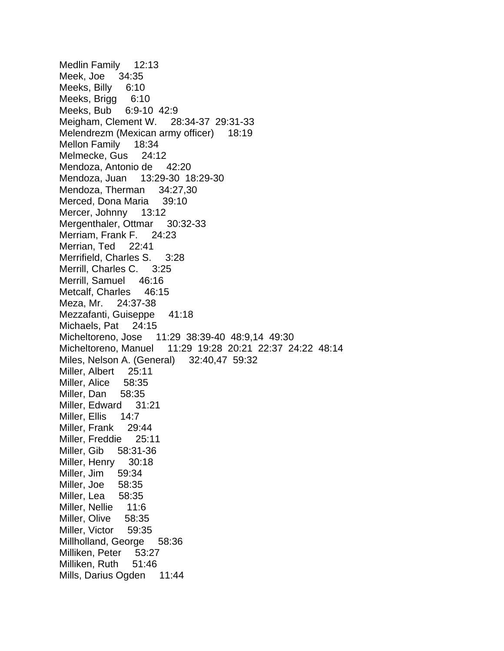Medlin Family 12:13 Meek, Joe 34:35 Meeks, Billy 6:10 Meeks, Brigg 6:10 Meeks, Bub 6:9-10 42:9 Meigham, Clement W. 28:34-37 29:31-33 Melendrezm (Mexican army officer) 18:19 Mellon Family 18:34 Melmecke, Gus 24:12 Mendoza, Antonio de 42:20 Mendoza, Juan 13:29-30 18:29-30 Mendoza, Therman 34:27,30 Merced, Dona Maria 39:10 Mercer, Johnny 13:12 Mergenthaler, Ottmar 30:32-33 Merriam, Frank F. 24:23 Merrian, Ted 22:41 Merrifield, Charles S. 3:28 Merrill, Charles C. 3:25 Merrill, Samuel 46:16 Metcalf, Charles 46:15 Meza, Mr. 24:37-38 Mezzafanti, Guiseppe 41:18 Michaels, Pat 24:15 Micheltoreno, Jose 11:29 38:39-40 48:9,14 49:30 Micheltoreno, Manuel 11:29 19:28 20:21 22:37 24:22 48:14 Miles, Nelson A. (General) 32:40,47 59:32 Miller, Albert 25:11 Miller, Alice 58:35 Miller, Dan 58:35 Miller, Edward 31:21 Miller, Ellis 14:7 Miller, Frank 29:44 Miller, Freddie 25:11 Miller, Gib 58:31-36 Miller, Henry 30:18 Miller, Jim 59:34 Miller, Joe 58:35 Miller, Lea 58:35 Miller, Nellie 11:6 Miller, Olive 58:35 Miller, Victor 59:35 Millholland, George 58:36 Milliken, Peter 53:27 Milliken, Ruth 51:46 Mills, Darius Ogden 11:44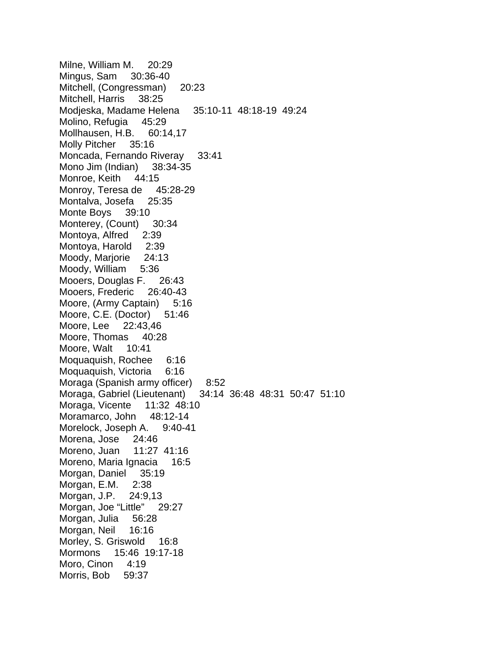Milne, William M. 20:29 Mingus, Sam 30:36-40 Mitchell, (Congressman) 20:23 Mitchell, Harris 38:25 Modjeska, Madame Helena 35:10-11 48:18-19 49:24 Molino, Refugia 45:29 Mollhausen, H.B. 60:14,17 Molly Pitcher 35:16 Moncada, Fernando Riveray 33:41 Mono Jim (Indian) 38:34-35 Monroe, Keith 44:15 Monroy, Teresa de 45:28-29 Montalva, Josefa 25:35 Monte Boys 39:10 Monterey, (Count) 30:34 Montoya, Alfred 2:39 Montoya, Harold 2:39 Moody, Marjorie 24:13 Moody, William 5:36 Mooers, Douglas F. 26:43 Mooers, Frederic 26:40-43 Moore, (Army Captain) 5:16 Moore, C.E. (Doctor) 51:46 Moore, Lee 22:43,46 Moore, Thomas 40:28 Moore, Walt 10:41 Moquaquish, Rochee 6:16 Moquaquish, Victoria 6:16 Moraga (Spanish army officer) 8:52 Moraga, Gabriel (Lieutenant) 34:14 36:48 48:31 50:47 51:10 Moraga, Vicente 11:32 48:10 Moramarco, John 48:12-14 Morelock, Joseph A. 9:40-41 Morena, Jose 24:46 Moreno, Juan 11:27 41:16 Moreno, Maria Ignacia 16:5 Morgan, Daniel 35:19 Morgan, E.M. 2:38 Morgan, J.P. 24:9,13 Morgan, Joe "Little" 29:27 Morgan, Julia 56:28 Morgan, Neil 16:16 Morley, S. Griswold 16:8 Mormons 15:46 19:17-18 Moro, Cinon 4:19 Morris, Bob 59:37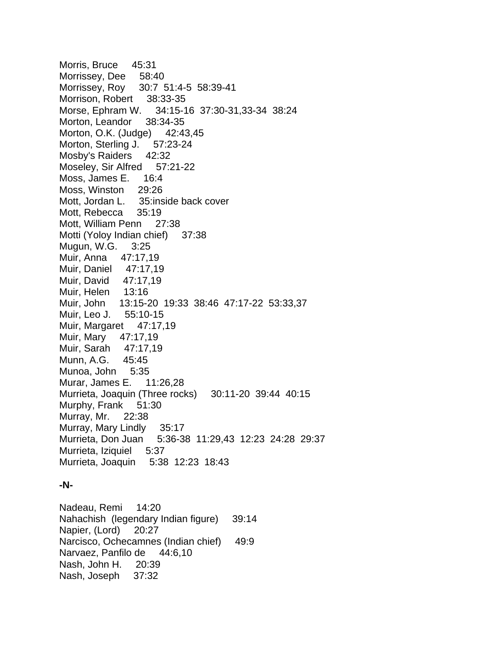Morris, Bruce 45:31 Morrissey, Dee 58:40 Morrissey, Roy 30:7 51:4-5 58:39-41 Morrison, Robert 38:33-35 Morse, Ephram W. 34:15-16 37:30-31,33-34 38:24 Morton, Leandor 38:34-35 Morton, O.K. (Judge) 42:43,45 Morton, Sterling J. 57:23-24 Mosby's Raiders 42:32 Moseley, Sir Alfred 57:21-22 Moss, James E. 16:4 Moss, Winston 29:26 Mott, Jordan L. 35: inside back cover Mott, Rebecca 35:19 Mott, William Penn 27:38 Motti (Yoloy Indian chief) 37:38 Mugun, W.G. 3:25 Muir, Anna 47:17,19 Muir, Daniel 47:17,19 Muir, David 47:17,19 Muir, Helen 13:16 Muir, John 13:15-20 19:33 38:46 47:17-22 53:33,37 Muir, Leo J. 55:10-15 Muir, Margaret 47:17,19 Muir, Mary 47:17,19 Muir, Sarah 47:17,19 Munn, A.G. 45:45 Munoa, John 5:35 Murar, James E. 11:26,28 Murrieta, Joaquin (Three rocks) 30:11-20 39:44 40:15 Murphy, Frank 51:30 Murray, Mr. 22:38 Murray, Mary Lindly 35:17 Murrieta, Don Juan 5:36-38 11:29,43 12:23 24:28 29:37 Murrieta, Iziquiel 5:37 Murrieta, Joaquin 5:38 12:23 18:43

## **-N-**

Nadeau, Remi 14:20 Nahachish (legendary Indian figure) 39:14 Napier, (Lord) 20:27 Narcisco, Ochecamnes (Indian chief) 49:9 Narvaez, Panfilo de 44:6,10 Nash, John H. 20:39 Nash, Joseph 37:32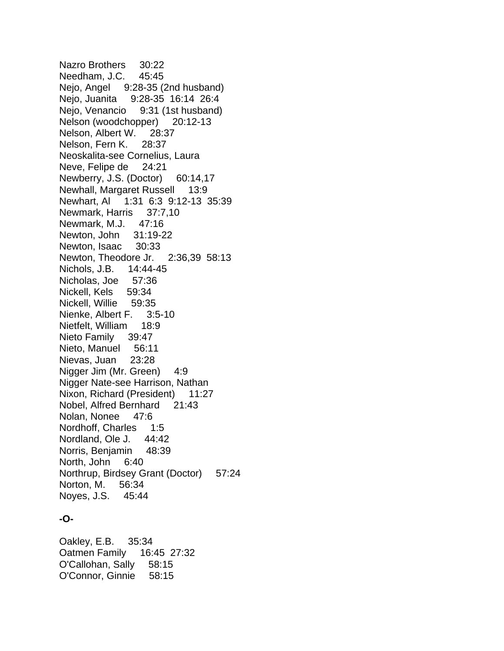Nazro Brothers 30:22 Needham, J.C. 45:45 Nejo, Angel 9:28-35 (2nd husband) Nejo, Juanita 9:28-35 16:14 26:4 Nejo, Venancio 9:31 (1st husband) Nelson (woodchopper) 20:12-13 Nelson, Albert W. 28:37 Nelson, Fern K. 28:37 Neoskalita-see Cornelius, Laura Neve, Felipe de 24:21 Newberry, J.S. (Doctor) 60:14,17 Newhall, Margaret Russell 13:9 Newhart, Al 1:31 6:3 9:12-13 35:39 Newmark, Harris 37:7,10 Newmark, M.J. 47:16 Newton, John 31:19-22 Newton, Isaac 30:33 Newton, Theodore Jr. 2:36,39 58:13 Nichols, J.B. 14:44-45 Nicholas, Joe 57:36 Nickell, Kels 59:34 Nickell, Willie 59:35 Nienke, Albert F. 3:5-10 Nietfelt, William 18:9 Nieto Family 39:47 Nieto, Manuel 56:11 Nievas, Juan 23:28 Nigger Jim (Mr. Green) 4:9 Nigger Nate-see Harrison, Nathan Nixon, Richard (President) 11:27 Nobel, Alfred Bernhard 21:43 Nolan, Nonee 47:6 Nordhoff, Charles 1:5 Nordland, Ole J. 44:42 Norris, Benjamin 48:39 North, John 6:40 Northrup, Birdsey Grant (Doctor) 57:24 Norton, M. 56:34 Noyes, J.S. 45:44

## **-O-**

Oakley, E.B. 35:34 Oatmen Family 16:45 27:32 O'Callohan, Sally 58:15 O'Connor, Ginnie 58:15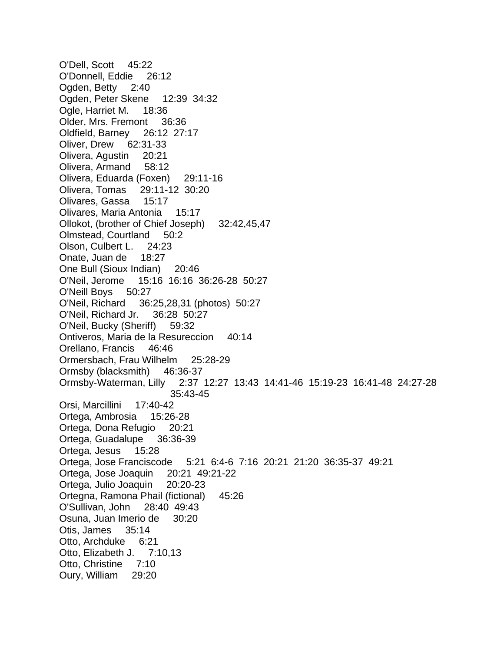O'Dell, Scott 45:22 O'Donnell, Eddie 26:12 Ogden, Betty 2:40 Ogden, Peter Skene 12:39 34:32 Ogle, Harriet M. 18:36 Older, Mrs. Fremont 36:36 Oldfield, Barney 26:12 27:17 Oliver, Drew 62:31-33 Olivera, Agustin 20:21 Olivera, Armand 58:12 Olivera, Eduarda (Foxen) 29:11-16 Olivera, Tomas 29:11-12 30:20 Olivares, Gassa 15:17 Olivares, Maria Antonia 15:17 Ollokot, (brother of Chief Joseph) 32:42,45,47 Olmstead, Courtland 50:2 Olson, Culbert L. 24:23 Onate, Juan de 18:27 One Bull (Sioux Indian) 20:46 O'Neil, Jerome 15:16 16:16 36:26-28 50:27 O'Neill Boys 50:27 O'Neil, Richard 36:25,28,31 (photos) 50:27 O'Neil, Richard Jr. 36:28 50:27 O'Neil, Bucky (Sheriff) 59:32 Ontiveros, Maria de la Resureccion 40:14 Orellano, Francis 46:46 Ormersbach, Frau Wilhelm 25:28-29 Ormsby (blacksmith) 46:36-37 Ormsby-Waterman, Lilly 2:37 12:27 13:43 14:41-46 15:19-23 16:41-48 24:27-28 35:43-45 Orsi, Marcillini 17:40-42 Ortega, Ambrosia 15:26-28 Ortega, Dona Refugio 20:21 Ortega, Guadalupe 36:36-39 Ortega, Jesus 15:28 Ortega, Jose Franciscode 5:21 6:4-6 7:16 20:21 21:20 36:35-37 49:21 Ortega, Jose Joaquin 20:21 49:21-22 Ortega, Julio Joaquin 20:20-23 Ortegna, Ramona Phail (fictional) 45:26 O'Sullivan, John 28:40 49:43 Osuna, Juan Imerio de 30:20 Otis, James 35:14 Otto, Archduke 6:21 Otto, Elizabeth J. 7:10,13 Otto, Christine 7:10 Oury, William 29:20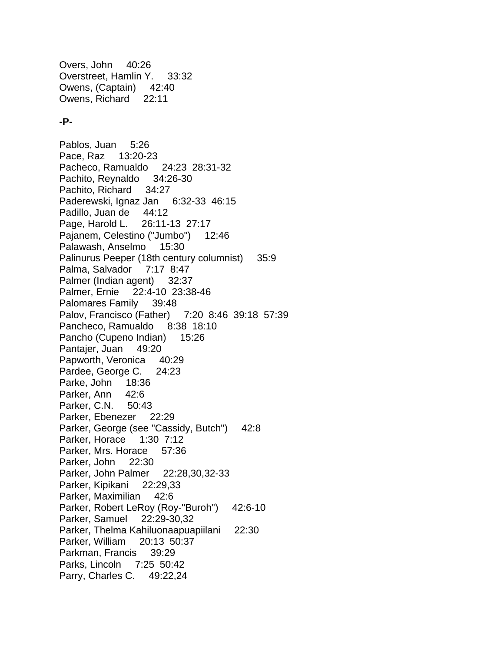Overs, John 40:26 Overstreet, Hamlin Y. 33:32 Owens, (Captain) 42:40 Owens, Richard 22:11

#### **-P-**

Pablos, Juan 5:26 Pace, Raz 13:20-23 Pacheco, Ramualdo 24:23 28:31-32 Pachito, Reynaldo 34:26-30 Pachito, Richard 34:27 Paderewski, Ignaz Jan 6:32-33 46:15 Padillo, Juan de 44:12 Page, Harold L. 26:11-13 27:17 Pajanem, Celestino ("Jumbo") 12:46 Palawash, Anselmo 15:30 Palinurus Peeper (18th century columnist) 35:9 Palma, Salvador 7:17 8:47 Palmer (Indian agent) 32:37 Palmer, Ernie 22:4-10 23:38-46 Palomares Family 39:48 Palov, Francisco (Father) 7:20 8:46 39:18 57:39 Pancheco, Ramualdo 8:38 18:10 Pancho (Cupeno Indian) 15:26 Pantajer, Juan 49:20 Papworth, Veronica 40:29 Pardee, George C. 24:23 Parke, John 18:36 Parker, Ann 42:6 Parker, C.N. 50:43 Parker, Ebenezer 22:29 Parker, George (see "Cassidy, Butch") 42:8 Parker, Horace 1:30 7:12 Parker, Mrs. Horace 57:36 Parker, John 22:30 Parker, John Palmer 22:28,30,32-33 Parker, Kipikani 22:29,33 Parker, Maximilian 42:6 Parker, Robert LeRoy (Roy-"Buroh") 42:6-10 Parker, Samuel 22:29-30,32 Parker, Thelma Kahiluonaapuapiilani 22:30 Parker, William 20:13 50:37 Parkman, Francis 39:29 Parks, Lincoln 7:25 50:42 Parry, Charles C. 49:22,24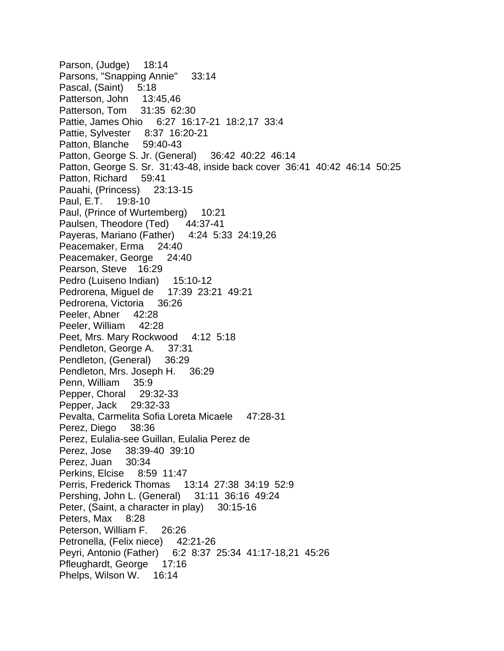Parson, (Judge) 18:14 Parsons, "Snapping Annie" 33:14 Pascal, (Saint) 5:18 Patterson, John 13:45,46 Patterson, Tom 31:35 62:30 Pattie, James Ohio 6:27 16:17-21 18:2,17 33:4 Pattie, Sylvester 8:37 16:20-21 Patton, Blanche 59:40-43 Patton, George S. Jr. (General) 36:42 40:22 46:14 Patton, George S. Sr. 31:43-48, inside back cover 36:41 40:42 46:14 50:25 Patton, Richard 59:41 Pauahi, (Princess) 23:13-15 Paul, E.T. 19:8-10 Paul, (Prince of Wurtemberg) 10:21 Paulsen, Theodore (Ted) 44:37-41 Payeras, Mariano (Father) 4:24 5:33 24:19,26 Peacemaker, Erma 24:40 Peacemaker, George 24:40 Pearson, Steve 16:29 Pedro (Luiseno Indian) 15:10-12 Pedrorena, Miguel de 17:39 23:21 49:21 Pedrorena, Victoria 36:26 Peeler, Abner 42:28 Peeler, William 42:28 Peet, Mrs. Mary Rockwood 4:12 5:18 Pendleton, George A. 37:31 Pendleton, (General) 36:29 Pendleton, Mrs. Joseph H. 36:29 Penn, William 35:9 Pepper, Choral 29:32-33 Pepper, Jack 29:32-33 Pevalta, Carmelita Sofia Loreta Micaele 47:28-31 Perez, Diego 38:36 Perez, Eulalia-see Guillan, Eulalia Perez de Perez, Jose 38:39-40 39:10 Perez, Juan 30:34 Perkins, Elcise 8:59 11:47 Perris, Frederick Thomas 13:14 27:38 34:19 52:9 Pershing, John L. (General) 31:11 36:16 49:24 Peter, (Saint, a character in play) 30:15-16 Peters, Max 8:28 Peterson, William F. 26:26 Petronella, (Felix niece) 42:21-26 Peyri, Antonio (Father) 6:2 8:37 25:34 41:17-18,21 45:26 Pfleughardt, George 17:16 Phelps, Wilson W. 16:14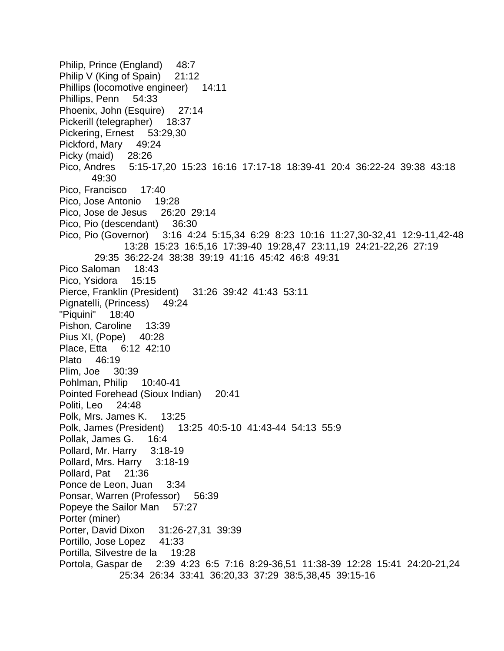Philip, Prince (England) 48:7 Philip V (King of Spain) 21:12 Phillips (locomotive engineer) 14:11 Phillips, Penn 54:33 Phoenix, John (Esquire) 27:14 Pickerill (telegrapher) 18:37 Pickering, Ernest 53:29,30 Pickford, Mary 49:24 Picky (maid) 28:26 Pico, Andres 5:15-17,20 15:23 16:16 17:17-18 18:39-41 20:4 36:22-24 39:38 43:18 49:30 Pico, Francisco 17:40 Pico, Jose Antonio 19:28 Pico, Jose de Jesus 26:20 29:14 Pico, Pio (descendant) 36:30 Pico, Pio (Governor) 3:16 4:24 5:15,34 6:29 8:23 10:16 11:27,30-32,41 12:9-11,42-48 13:28 15:23 16:5,16 17:39-40 19:28,47 23:11,19 24:21-22,26 27:19 29:35 36:22-24 38:38 39:19 41:16 45:42 46:8 49:31 Pico Saloman 18:43 Pico, Ysidora 15:15 Pierce, Franklin (President) 31:26 39:42 41:43 53:11 Pignatelli, (Princess) 49:24 "Piquini" 18:40 Pishon, Caroline 13:39 Pius XI, (Pope) 40:28 Place, Etta 6:12 42:10 Plato 46:19 Plim, Joe 30:39 Pohlman, Philip 10:40-41 Pointed Forehead (Sioux Indian) 20:41 Politi, Leo 24:48 Polk, Mrs. James K. 13:25 Polk, James (President) 13:25 40:5-10 41:43-44 54:13 55:9 Pollak, James G. 16:4 Pollard, Mr. Harry 3:18-19 Pollard, Mrs. Harry 3:18-19 Pollard, Pat 21:36 Ponce de Leon, Juan 3:34 Ponsar, Warren (Professor) 56:39 Popeye the Sailor Man 57:27 Porter (miner) Porter, David Dixon 31:26-27,31 39:39 Portillo, Jose Lopez 41:33 Portilla, Silvestre de la 19:28 Portola, Gaspar de 2:39 4:23 6:5 7:16 8:29-36,51 11:38-39 12:28 15:41 24:20-21,24 25:34 26:34 33:41 36:20,33 37:29 38:5,38,45 39:15-16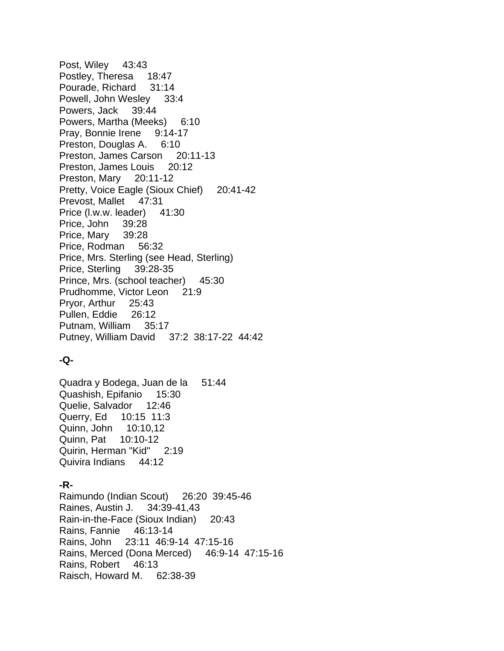Post, Wiley 43:43 Postley, Theresa 18:47 Pourade, Richard 31:14 Powell, John Wesley 33:4 Powers, Jack 39:44 Powers, Martha (Meeks) 6:10 Pray, Bonnie Irene 9:14-17 Preston, Douglas A. 6:10 Preston, James Carson 20:11-13 Preston, James Louis 20:12 Preston, Mary 20:11-12 Pretty, Voice Eagle (Sioux Chief) 20:41-42 Prevost, Mallet 47:31 Price (l.w.w. leader) 41:30 Price, John 39:28 Price, Mary 39:28 Price, Rodman 56:32 Price, Mrs. Sterling (see Head, Sterling) Price, Sterling 39:28-35 Prince, Mrs. (school teacher) 45:30 Prudhomme, Victor Leon 21:9 Pryor, Arthur 25:43 Pullen, Eddie 26:12 Putnam, William 35:17 Putney, William David 37:2 38:17-22 44:42

# **-Q-**

Quadra y Bodega, Juan de la 51:44 Quashish, Epifanio 15:30 Quelie, Salvador 12:46 Querry, Ed 10:15 11:3 Quinn, John 10:10,12 Quinn, Pat 10:10-12 Quirin, Herman "Kid" 2:19 Quivira Indians 44:12

## **-R-**

Raimundo (Indian Scout) 26:20 39:45-46 Raines, Austin J. 34:39-41,43 Rain-in-the-Face (Sioux Indian) 20:43 Rains, Fannie 46:13-14 Rains, John 23:11 46:9-14 47:15-16 Rains, Merced (Dona Merced) 46:9-14 47:15-16 Rains, Robert 46:13 Raisch, Howard M. 62:38-39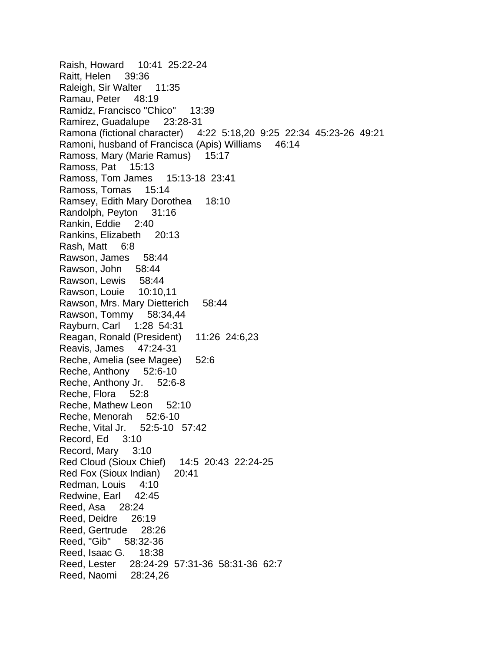Raish, Howard 10:41 25:22-24 Raitt, Helen 39:36 Raleigh, Sir Walter 11:35 Ramau, Peter 48:19 Ramidz, Francisco "Chico" 13:39 Ramirez, Guadalupe 23:28-31 Ramona (fictional character) 4:22 5:18,20 9:25 22:34 45:23-26 49:21 Ramoni, husband of Francisca (Apis) Williams 46:14 Ramoss, Mary (Marie Ramus) 15:17 Ramoss, Pat 15:13 Ramoss, Tom James 15:13-18 23:41 Ramoss, Tomas 15:14 Ramsey, Edith Mary Dorothea 18:10 Randolph, Peyton 31:16 Rankin, Eddie 2:40 Rankins, Elizabeth 20:13 Rash, Matt 6:8 Rawson, James 58:44 Rawson, John 58:44 Rawson, Lewis 58:44 Rawson, Louie 10:10,11 Rawson, Mrs. Mary Dietterich 58:44 Rawson, Tommy 58:34,44 Rayburn, Carl 1:28 54:31 Reagan, Ronald (President) 11:26 24:6,23 Reavis, James 47:24-31 Reche, Amelia (see Magee) 52:6 Reche, Anthony 52:6-10 Reche, Anthony Jr. 52:6-8 Reche, Flora 52:8 Reche, Mathew Leon 52:10 Reche, Menorah 52:6-10 Reche, Vital Jr. 52:5-10 57:42 Record, Ed 3:10 Record, Mary 3:10 Red Cloud (Sioux Chief) 14:5 20:43 22:24-25 Red Fox (Sioux Indian) 20:41 Redman, Louis 4:10 Redwine, Earl 42:45 Reed, Asa 28:24 Reed, Deidre 26:19 Reed, Gertrude 28:26 Reed, "Gib" 58:32-36 Reed, Isaac G. 18:38 Reed, Lester 28:24-29 57:31-36 58:31-36 62:7 Reed, Naomi 28:24,26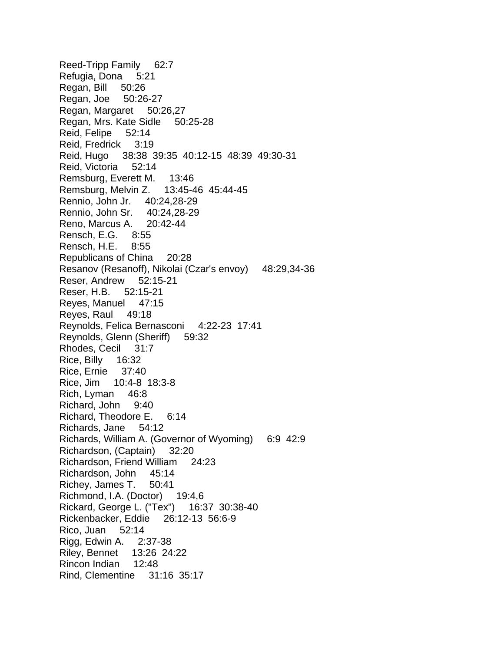Reed-Tripp Family 62:7 Refugia, Dona 5:21 Regan, Bill 50:26 Regan, Joe 50:26-27 Regan, Margaret 50:26,27 Regan, Mrs. Kate Sidle 50:25-28 Reid, Felipe 52:14 Reid, Fredrick 3:19 Reid, Hugo 38:38 39:35 40:12-15 48:39 49:30-31 Reid, Victoria 52:14 Remsburg, Everett M. 13:46 Remsburg, Melvin Z. 13:45-46 45:44-45 Rennio, John Jr. 40:24,28-29 Rennio, John Sr. 40:24,28-29 Reno, Marcus A. 20:42-44 Rensch, E.G. 8:55 Rensch, H.E. 8:55 Republicans of China 20:28 Resanov (Resanoff), Nikolai (Czar's envoy) 48:29,34-36 Reser, Andrew 52:15-21 Reser, H.B. 52:15-21 Reyes, Manuel 47:15 Reyes, Raul 49:18 Reynolds, Felica Bernasconi 4:22-23 17:41 Reynolds, Glenn (Sheriff) 59:32 Rhodes, Cecil 31:7 Rice, Billy 16:32 Rice, Ernie 37:40 Rice, Jim 10:4-8 18:3-8 Rich, Lyman 46:8 Richard, John 9:40 Richard, Theodore E. 6:14 Richards, Jane 54:12 Richards, William A. (Governor of Wyoming) 6:9 42:9 Richardson, (Captain) 32:20 Richardson, Friend William 24:23 Richardson, John 45:14 Richey, James T. 50:41 Richmond, I.A. (Doctor) 19:4,6 Rickard, George L. ("Tex") 16:37 30:38-40 Rickenbacker, Eddie 26:12-13 56:6-9 Rico, Juan 52:14 Rigg, Edwin A. 2:37-38 Riley, Bennet 13:26 24:22 Rincon Indian 12:48 Rind, Clementine 31:16 35:17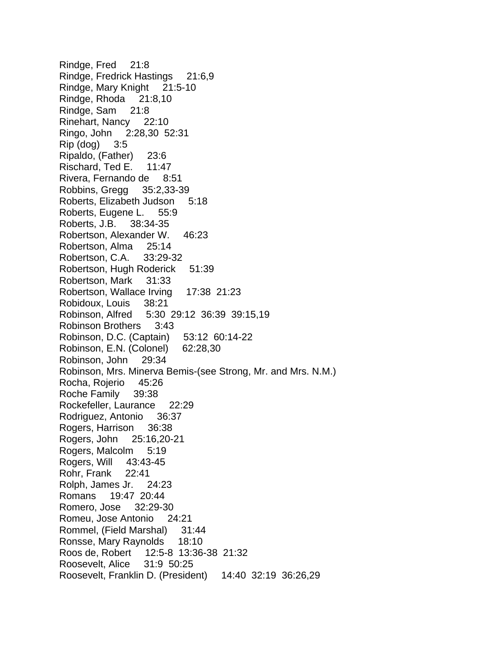Rindge, Fred 21:8 Rindge, Fredrick Hastings 21:6,9 Rindge, Mary Knight 21:5-10 Rindge, Rhoda 21:8,10 Rindge, Sam 21:8 Rinehart, Nancy 22:10 Ringo, John 2:28,30 52:31 Rip (dog) 3:5 Ripaldo, (Father) 23:6 Rischard, Ted E. 11:47 Rivera, Fernando de 8:51 Robbins, Gregg 35:2,33-39 Roberts, Elizabeth Judson 5:18 Roberts, Eugene L. 55:9 Roberts, J.B. 38:34-35 Robertson, Alexander W. 46:23 Robertson, Alma 25:14 Robertson, C.A. 33:29-32 Robertson, Hugh Roderick 51:39 Robertson, Mark 31:33 Robertson, Wallace Irving 17:38 21:23 Robidoux, Louis 38:21 Robinson, Alfred 5:30 29:12 36:39 39:15,19 Robinson Brothers 3:43 Robinson, D.C. (Captain) 53:12 60:14-22 Robinson, E.N. (Colonel) 62:28,30 Robinson, John 29:34 Robinson, Mrs. Minerva Bemis-(see Strong, Mr. and Mrs. N.M.) Rocha, Rojerio 45:26 Roche Family 39:38 Rockefeller, Laurance 22:29 Rodriguez, Antonio 36:37 Rogers, Harrison 36:38 Rogers, John 25:16,20-21 Rogers, Malcolm 5:19 Rogers, Will 43:43-45 Rohr, Frank 22:41 Rolph, James Jr. 24:23 Romans 19:47 20:44 Romero, Jose 32:29-30 Romeu, Jose Antonio 24:21 Rommel, (Field Marshal) 31:44 Ronsse, Mary Raynolds 18:10 Roos de, Robert 12:5-8 13:36-38 21:32 Roosevelt, Alice 31:9 50:25 Roosevelt, Franklin D. (President) 14:40 32:19 36:26,29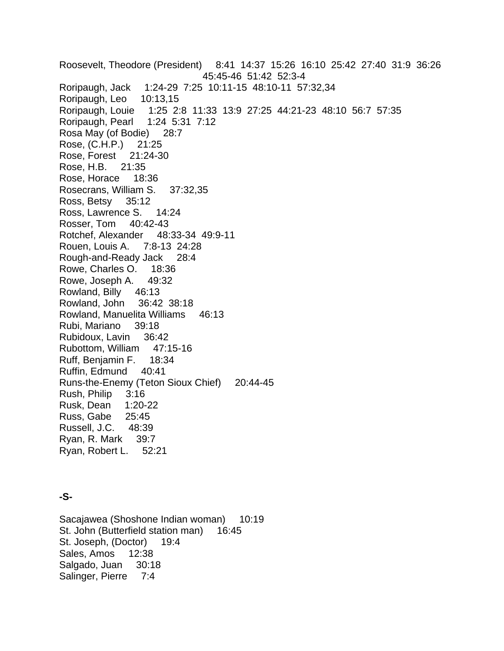Roosevelt, Theodore (President) 8:41 14:37 15:26 16:10 25:42 27:40 31:9 36:26 45:45-46 51:42 52:3-4 Roripaugh, Jack 1:24-29 7:25 10:11-15 48:10-11 57:32,34 Roripaugh, Leo 10:13,15 Roripaugh, Louie 1:25 2:8 11:33 13:9 27:25 44:21-23 48:10 56:7 57:35 Roripaugh, Pearl 1:24 5:31 7:12 Rosa May (of Bodie) 28:7 Rose, (C.H.P.) 21:25 Rose, Forest 21:24-30 Rose, H.B. 21:35 Rose, Horace 18:36 Rosecrans, William S. 37:32,35 Ross, Betsy 35:12 Ross, Lawrence S. 14:24 Rosser, Tom 40:42-43 Rotchef, Alexander 48:33-34 49:9-11 Rouen, Louis A. 7:8-13 24:28 Rough-and-Ready Jack 28:4 Rowe, Charles O. 18:36 Rowe, Joseph A. 49:32 Rowland, Billy 46:13 Rowland, John 36:42 38:18 Rowland, Manuelita Williams 46:13 Rubi, Mariano 39:18 Rubidoux, Lavin 36:42 Rubottom, William 47:15-16 Ruff, Benjamin F. 18:34 Ruffin, Edmund 40:41 Runs-the-Enemy (Teton Sioux Chief) 20:44-45 Rush, Philip 3:16 Rusk, Dean 1:20-22 Russ, Gabe 25:45 Russell, J.C. 48:39 Ryan, R. Mark 39:7 Ryan, Robert L. 52:21

## **-S-**

Sacajawea (Shoshone Indian woman) 10:19 St. John (Butterfield station man) 16:45 St. Joseph, (Doctor) 19:4 Sales, Amos 12:38 Salgado, Juan 30:18 Salinger, Pierre 7:4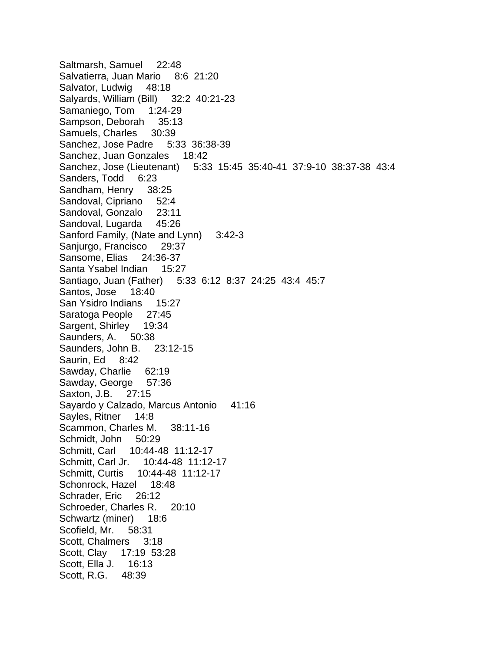Saltmarsh, Samuel 22:48 Salvatierra, Juan Mario 8:6 21:20 Salvator, Ludwig 48:18 Salyards, William (Bill) 32:2 40:21-23 Samaniego, Tom 1:24-29 Sampson, Deborah 35:13 Samuels, Charles 30:39 Sanchez, Jose Padre 5:33 36:38-39 Sanchez, Juan Gonzales 18:42 Sanchez, Jose (Lieutenant) 5:33 15:45 35:40-41 37:9-10 38:37-38 43:4 Sanders, Todd 6:23 Sandham, Henry 38:25 Sandoval, Cipriano 52:4 Sandoval, Gonzalo 23:11 Sandoval, Lugarda 45:26 Sanford Family, (Nate and Lynn) 3:42-3 Sanjurgo, Francisco 29:37 Sansome, Elias 24:36-37 Santa Ysabel Indian 15:27 Santiago, Juan (Father) 5:33 6:12 8:37 24:25 43:4 45:7 Santos, Jose 18:40 San Ysidro Indians 15:27 Saratoga People 27:45 Sargent, Shirley 19:34 Saunders, A. 50:38 Saunders, John B. 23:12-15 Saurin, Ed 8:42 Sawday, Charlie 62:19 Sawday, George 57:36 Saxton, J.B. 27:15 Sayardo y Calzado, Marcus Antonio 41:16 Sayles, Ritner 14:8 Scammon, Charles M. 38:11-16 Schmidt, John 50:29 Schmitt, Carl 10:44-48 11:12-17 Schmitt, Carl Jr. 10:44-48 11:12-17 Schmitt, Curtis 10:44-48 11:12-17 Schonrock, Hazel 18:48 Schrader, Eric 26:12 Schroeder, Charles R. 20:10 Schwartz (miner) 18:6 Scofield, Mr. 58:31 Scott, Chalmers 3:18 Scott, Clay 17:19 53:28 Scott, Ella J. 16:13 Scott, R.G. 48:39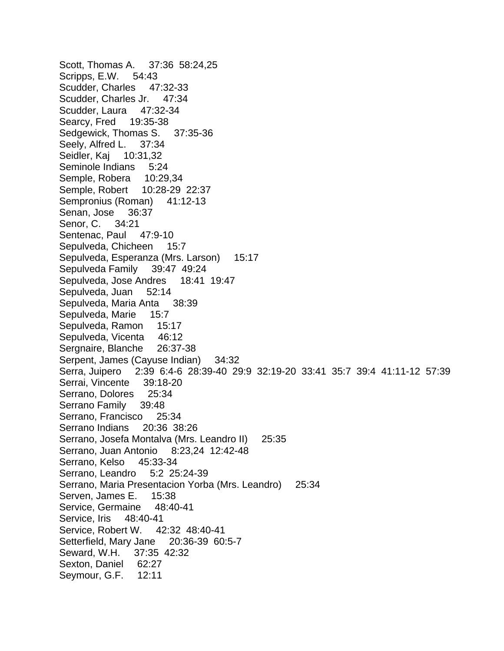Scott, Thomas A. 37:36 58:24,25 Scripps, E.W. 54:43 Scudder, Charles 47:32-33 Scudder, Charles Jr. 47:34 Scudder, Laura 47:32-34 Searcy, Fred 19:35-38 Sedgewick, Thomas S. 37:35-36 Seely, Alfred L. 37:34 Seidler, Kaj 10:31,32 Seminole Indians 5:24 Semple, Robera 10:29,34 Semple, Robert 10:28-29 22:37 Sempronius (Roman) 41:12-13 Senan, Jose 36:37 Senor, C. 34:21 Sentenac, Paul 47:9-10 Sepulveda, Chicheen 15:7 Sepulveda, Esperanza (Mrs. Larson) 15:17 Sepulveda Family 39:47 49:24 Sepulveda, Jose Andres 18:41 19:47 Sepulveda, Juan 52:14 Sepulveda, Maria Anta 38:39 Sepulveda, Marie 15:7 Sepulveda, Ramon 15:17 Sepulveda, Vicenta 46:12 Sergnaire, Blanche 26:37-38 Serpent, James (Cayuse Indian) 34:32 Serra, Juipero 2:39 6:4-6 28:39-40 29:9 32:19-20 33:41 35:7 39:4 41:11-12 57:39 Serrai, Vincente 39:18-20 Serrano, Dolores 25:34 Serrano Family 39:48 Serrano, Francisco 25:34 Serrano Indians 20:36 38:26 Serrano, Josefa Montalva (Mrs. Leandro II) 25:35 Serrano, Juan Antonio 8:23,24 12:42-48 Serrano, Kelso 45:33-34 Serrano, Leandro 5:2 25:24-39 Serrano, Maria Presentacion Yorba (Mrs. Leandro) 25:34 Serven, James E. 15:38 Service, Germaine 48:40-41 Service, Iris 48:40-41 Service, Robert W. 42:32 48:40-41 Setterfield, Mary Jane 20:36-39 60:5-7 Seward, W.H. 37:35 42:32 Sexton, Daniel 62:27 Seymour, G.F. 12:11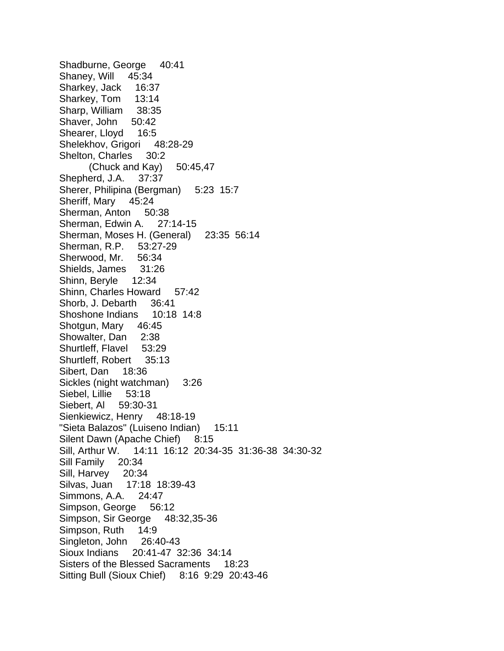Shadburne, George 40:41 Shaney, Will 45:34 Sharkey, Jack 16:37 Sharkey, Tom 13:14 Sharp, William 38:35 Shaver, John 50:42 Shearer, Lloyd 16:5 Shelekhov, Grigori 48:28-29 Shelton, Charles 30:2  $(Chuck and Kay)$  50:45,47 Shepherd, J.A. 37:37 Sherer, Philipina (Bergman) 5:23 15:7 Sheriff, Mary 45:24 Sherman, Anton 50:38 Sherman, Edwin A. 27:14-15 Sherman, Moses H. (General) 23:35 56:14 Sherman, R.P. 53:27-29 Sherwood, Mr. 56:34 Shields, James 31:26 Shinn, Beryle 12:34 Shinn, Charles Howard 57:42 Shorb, J. Debarth 36:41 Shoshone Indians 10:18 14:8 Shotgun, Mary 46:45 Showalter, Dan 2:38 Shurtleff, Flavel 53:29 Shurtleff, Robert 35:13 Sibert, Dan 18:36 Sickles (night watchman) 3:26 Siebel, Lillie 53:18 Siebert, Al 59:30-31 Sienkiewicz, Henry 48:18-19 "Sieta Balazos" (Luiseno Indian) 15:11 Silent Dawn (Apache Chief) 8:15 Sill, Arthur W. 14:11 16:12 20:34-35 31:36-38 34:30-32 Sill Family 20:34 Sill, Harvey 20:34 Silvas, Juan 17:18 18:39-43 Simmons, A.A. 24:47 Simpson, George 56:12 Simpson, Sir George 48:32,35-36 Simpson, Ruth 14:9 Singleton, John 26:40-43 Sioux Indians 20:41-47 32:36 34:14 Sisters of the Blessed Sacraments 18:23 Sitting Bull (Sioux Chief) 8:16 9:29 20:43-46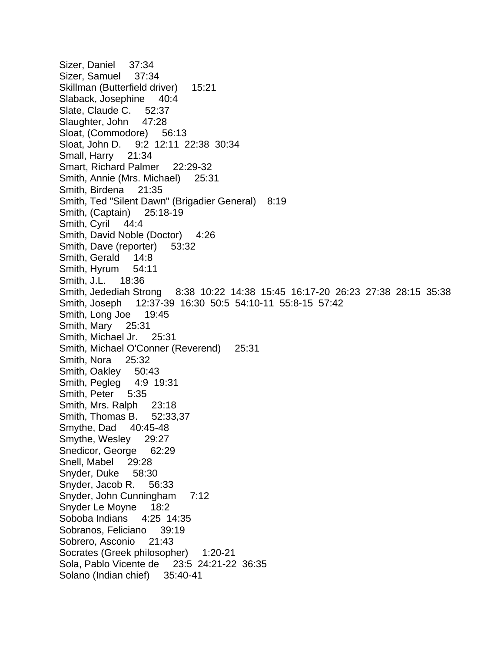Sizer, Daniel 37:34 Sizer, Samuel 37:34 Skillman (Butterfield driver) 15:21 Slaback, Josephine 40:4 Slate, Claude C. 52:37 Slaughter, John 47:28 Sloat, (Commodore) 56:13 Sloat, John D. 9:2 12:11 22:38 30:34 Small, Harry 21:34 Smart, Richard Palmer 22:29-32 Smith, Annie (Mrs. Michael) 25:31 Smith, Birdena 21:35 Smith, Ted "Silent Dawn" (Brigadier General) 8:19 Smith, (Captain) 25:18-19 Smith, Cyril 44:4 Smith, David Noble (Doctor) 4:26 Smith, Dave (reporter) 53:32 Smith, Gerald 14:8 Smith, Hyrum 54:11 Smith, J.L. 18:36 Smith, Jedediah Strong 8:38 10:22 14:38 15:45 16:17-20 26:23 27:38 28:15 35:38 Smith, Joseph 12:37-39 16:30 50:5 54:10-11 55:8-15 57:42 Smith, Long Joe 19:45 Smith, Mary 25:31 Smith, Michael Jr. 25:31 Smith, Michael O'Conner (Reverend) 25:31 Smith, Nora 25:32 Smith, Oakley 50:43 Smith, Pegleg 4:9 19:31 Smith, Peter 5:35 Smith, Mrs. Ralph 23:18 Smith, Thomas B. 52:33,37 Smythe, Dad 40:45-48 Smythe, Wesley 29:27 Snedicor, George 62:29 Snell, Mabel 29:28 Snyder, Duke 58:30 Snyder, Jacob R. 56:33 Snyder, John Cunningham 7:12 Snyder Le Moyne 18:2 Soboba Indians 4:25 14:35 Sobranos, Feliciano 39:19 Sobrero, Asconio 21:43 Socrates (Greek philosopher) 1:20-21 Sola, Pablo Vicente de 23:5 24:21-22 36:35 Solano (Indian chief) 35:40-41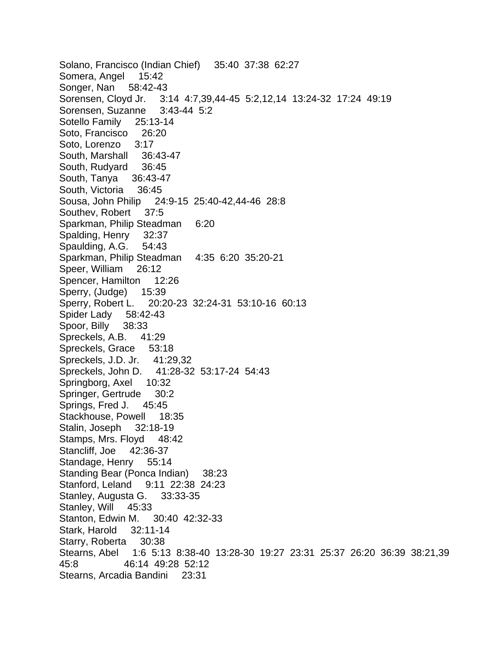Solano, Francisco (Indian Chief) 35:40 37:38 62:27 Somera, Angel 15:42 Songer, Nan 58:42-43 Sorensen, Cloyd Jr. 3:14 4:7,39,44-45 5:2,12,14 13:24-32 17:24 49:19 Sorensen, Suzanne 3:43-44 5:2 Sotello Family 25:13-14 Soto, Francisco 26:20 Soto, Lorenzo 3:17 South, Marshall 36:43-47 South, Rudyard 36:45 South, Tanya 36:43-47 South, Victoria 36:45 Sousa, John Philip 24:9-15 25:40-42,44-46 28:8 Southev, Robert 37:5 Sparkman, Philip Steadman 6:20 Spalding, Henry 32:37 Spaulding, A.G. 54:43 Sparkman, Philip Steadman 4:35 6:20 35:20-21 Speer, William 26:12 Spencer, Hamilton 12:26 Sperry, (Judge) 15:39 Sperry, Robert L. 20:20-23 32:24-31 53:10-16 60:13 Spider Lady 58:42-43 Spoor, Billy 38:33 Spreckels, A.B. 41:29 Spreckels, Grace 53:18 Spreckels, J.D. Jr. 41:29,32 Spreckels, John D. 41:28-32 53:17-24 54:43 Springborg, Axel 10:32 Springer, Gertrude 30:2 Springs, Fred J. 45:45 Stackhouse, Powell 18:35 Stalin, Joseph 32:18-19 Stamps, Mrs. Flovd 48:42 Stancliff, Joe 42:36-37 Standage, Henry 55:14 Standing Bear (Ponca Indian) 38:23 Stanford, Leland 9:11 22:38 24:23 Stanley, Augusta G. 33:33-35 Stanley, Will 45:33 Stanton, Edwin M. 30:40 42:32-33 Stark, Harold 32:11-14 Starry, Roberta 30:38 Stearns, Abel 1:6 5:13 8:38-40 13:28-30 19:27 23:31 25:37 26:20 36:39 38:21,39 45:8 46:14 49:28 52:12 Stearns, Arcadia Bandini 23:31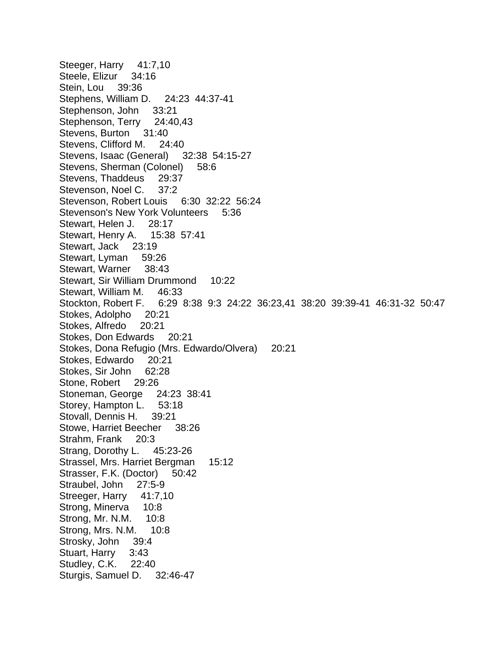Steeger, Harry 41:7,10 Steele, Elizur 34:16 Stein, Lou 39:36 Stephens, William D. 24:23 44:37-41 Stephenson, John 33:21 Stephenson, Terry 24:40,43 Stevens, Burton 31:40 Stevens, Clifford M. 24:40 Stevens, Isaac (General) 32:38 54:15-27 Stevens, Sherman (Colonel) 58:6 Stevens, Thaddeus 29:37 Stevenson, Noel C. 37:2 Stevenson, Robert Louis 6:30 32:22 56:24 Stevenson's New York Volunteers 5:36 Stewart, Helen J. 28:17 Stewart, Henry A. 15:38 57:41 Stewart, Jack 23:19 Stewart, Lyman 59:26 Stewart, Warner 38:43 Stewart, Sir William Drummond 10:22 Stewart, William M. 46:33 Stockton, Robert F. 6:29 8:38 9:3 24:22 36:23,41 38:20 39:39-41 46:31-32 50:47 Stokes, Adolpho 20:21 Stokes, Alfredo 20:21 Stokes, Don Edwards 20:21 Stokes, Dona Refugio (Mrs. Edwardo/Olvera) 20:21 Stokes, Edwardo 20:21 Stokes, Sir John 62:28 Stone, Robert 29:26 Stoneman, George 24:23 38:41 Storey, Hampton L. 53:18 Stovall, Dennis H. 39:21 Stowe, Harriet Beecher 38:26 Strahm, Frank 20:3 Strang, Dorothy L. 45:23-26 Strassel, Mrs. Harriet Bergman 15:12 Strasser, F.K. (Doctor) 50:42 Straubel, John 27:5-9 Streeger, Harry 41:7,10 Strong, Minerva 10:8 Strong, Mr. N.M. 10:8 Strong, Mrs. N.M. 10:8 Strosky, John 39:4 Stuart, Harry 3:43 Studley, C.K. 22:40 Sturgis, Samuel D. 32:46-47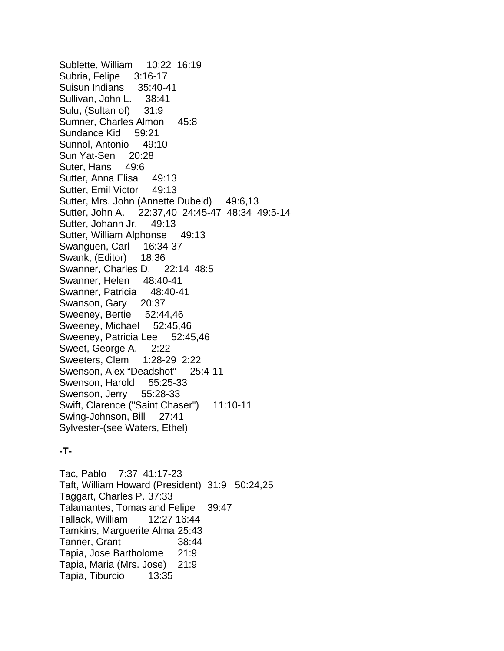Sublette, William 10:22 16:19 Subria, Felipe 3:16-17 Suisun Indians 35:40-41 Sullivan, John L. 38:41 Sulu, (Sultan of) 31:9 Sumner, Charles Almon 45:8 Sundance Kid 59:21 Sunnol, Antonio 49:10 Sun Yat-Sen 20:28 Suter, Hans 49:6 Sutter, Anna Elisa 49:13 Sutter, Emil Victor 49:13 Sutter, Mrs. John (Annette Dubeld) 49:6,13 Sutter, John A. 22:37,40 24:45-47 48:34 49:5-14 Sutter, Johann Jr. 49:13 Sutter, William Alphonse 49:13 Swanguen, Carl 16:34-37 Swank, (Editor) 18:36 Swanner, Charles D. 22:14 48:5 Swanner, Helen 48:40-41 Swanner, Patricia 48:40-41 Swanson, Gary 20:37 Sweeney, Bertie 52:44,46 Sweeney, Michael 52:45,46 Sweeney, Patricia Lee 52:45,46 Sweet, George A. 2:22 Sweeters, Clem 1:28-29 2:22 Swenson, Alex "Deadshot" 25:4-11 Swenson, Harold 55:25-33 Swenson, Jerry 55:28-33 Swift, Clarence ("Saint Chaser") 11:10-11 Swing-Johnson, Bill 27:41 Sylvester-(see Waters, Ethel)

# **-T-**

Tac, Pablo 7:37 41:17-23 Taft, William Howard (President) 31:9 50:24,25 Taggart, Charles P. 37:33 Talamantes, Tomas and Felipe 39:47 Tallack, William 12:27 16:44 Tamkins, Marguerite Alma 25:43 Tanner, Grant 38:44 Tapia, Jose Bartholome 21:9 Tapia, Maria (Mrs. Jose) 21:9 Tapia, Tiburcio 13:35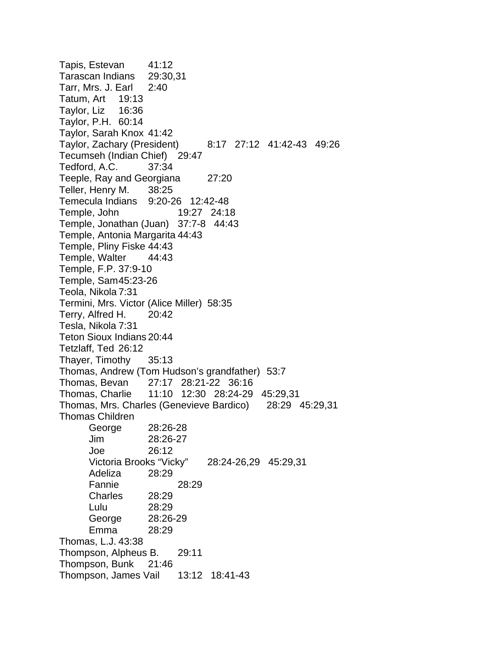Tapis, Estevan 41:12 Tarascan Indians 29:30,31 Tarr, Mrs. J. Earl 2:40 Tatum, Art 19:13 Taylor, Liz 16:36 Taylor, P.H. 60:14 Taylor, Sarah Knox 41:42 Taylor, Zachary (President) 8:17 27:12 41:42-43 49:26 Tecumseh (Indian Chief) 29:47 Tedford, A.C. 37:34 Teeple, Ray and Georgiana 27:20 Teller, Henry M. 38:25 Temecula Indians 9:20-26 12:42-48 Temple, John 19:27 24:18 Temple, Jonathan (Juan) 37:7-8 44:43 Temple, Antonia Margarita 44:43 Temple, Pliny Fiske 44:43 Temple, Walter 44:43 Temple, F.P. 37:9-10 Temple, Sam 45:23-26 Teola, Nikola 7:31 Termini, Mrs. Victor (Alice Miller) 58:35 Terry, Alfred H. 20:42 Tesla, Nikola 7:31 Teton Sioux Indians 20:44 Tetzlaff, Ted 26:12 Thayer, Timothy 35:13 Thomas, Andrew (Tom Hudson's grandfather) 53:7 Thomas, Bevan 27:17 28:21-22 36:16 Thomas, Charlie 11:10 12:30 28:24-29 45:29,31 Thomas, Mrs. Charles (Genevieve Bardico) 28:29 45:29,31 Thomas Children George 28:26-28 Jim 28:26-27 Joe 26:12 Victoria Brooks "Vicky" 28:24-26,29 45:29,31 Adeliza 28:29 Fannie 28:29 Charles 28:29 Lulu 28:29 George 28:26-29 Emma 28:29 Thomas, L.J. 43:38 Thompson, Alpheus B. 29:11 Thompson, Bunk 21:46 Thompson, James Vail 13:12 18:41-43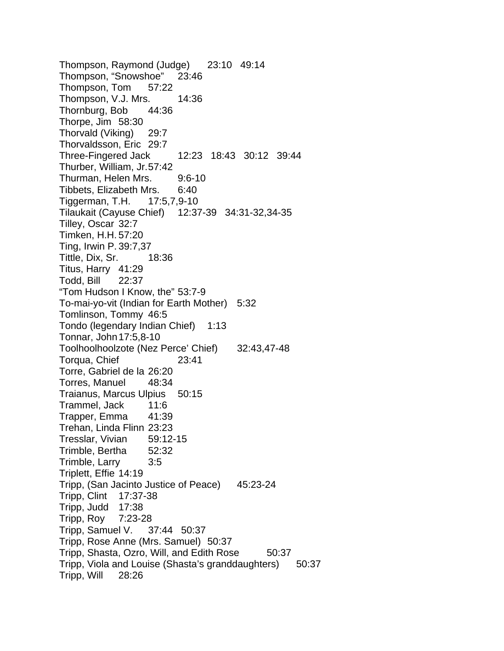Thompson, Raymond (Judge) 23:10 49:14 Thompson, "Snowshoe" 23:46 Thompson, Tom 57:22 Thompson, V.J. Mrs. 14:36 Thornburg, Bob 44:36 Thorpe, Jim 58:30 Thorvald (Viking) 29:7 Thorvaldsson, Eric 29:7 Three-Fingered Jack 12:23 18:43 30:12 39:44 Thurber, William, Jr. 57:42 Thurman, Helen Mrs. 9:6-10 Tibbets, Elizabeth Mrs. 6:40 Tiggerman, T.H. 17:5,7,9-10 Tilaukait (Cayuse Chief) 12:37-39 34:31-32,34-35 Tilley, Oscar 32:7 Timken, H.H. 57:20 Ting, Irwin P. 39:7,37 Tittle, Dix, Sr. 18:36 Titus, Harry 41:29 Todd, Bill 22:37 "Tom Hudson I Know, the" 53:7-9 To-mai-yo-vit (Indian for Earth Mother) 5:32 Tomlinson, Tommy 46:5 Tondo (legendary Indian Chief) 1:13 Tonnar, John 17:5,8-10 Toolhoolhoolzote (Nez Perce' Chief) 32:43,47-48 Torqua, Chief 23:41 Torre, Gabriel de la 26:20 Torres, Manuel 48:34 Traianus, Marcus Ulpius 50:15 Trammel, Jack 11:6 Trapper, Emma 41:39 Trehan, Linda Flinn 23:23 Tresslar, Vivian 59:12-15 Trimble, Bertha 52:32 Trimble, Larry 3:5 Triplett, Effie 14:19 Tripp, (San Jacinto Justice of Peace) 45:23-24 Tripp, Clint 17:37-38 Tripp, Judd 17:38 Tripp, Roy 7:23-28 Tripp, Samuel V. 37:44 50:37 Tripp, Rose Anne (Mrs. Samuel) 50:37 Tripp, Shasta, Ozro, Will, and Edith Rose 50:37 Tripp, Viola and Louise (Shasta's granddaughters) 50:37 Tripp, Will 28:26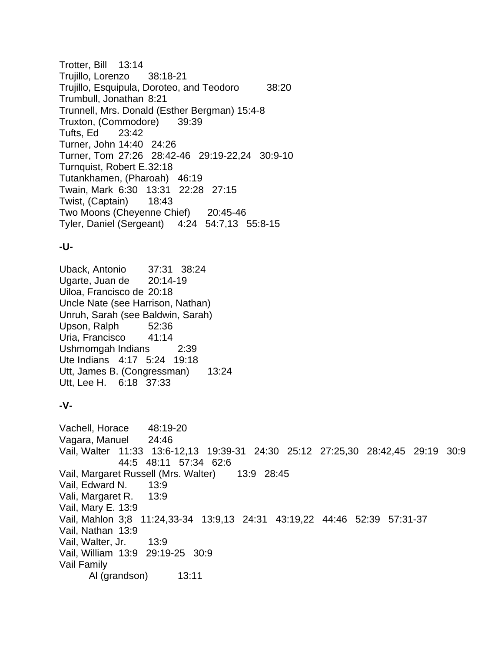Trotter, Bill 13:14 Trujillo, Lorenzo 38:18-21 Trujillo, Esquipula, Doroteo, and Teodoro 38:20 Trumbull, Jonathan 8:21 Trunnell, Mrs. Donald (Esther Bergman) 15:4-8 Truxton, (Commodore) 39:39 Tufts, Ed 23:42 Turner, John 14:40 24:26 Turner, Tom 27:26 28:42-46 29:19-22,24 30:9-10 Turnquist, Robert E. 32:18 Tutankhamen, (Pharoah) 46:19 Twain, Mark 6:30 13:31 22:28 27:15 Twist, (Captain) 18:43 Two Moons (Cheyenne Chief) 20:45-46 Tyler, Daniel (Sergeant) 4:24 54:7,13 55:8-15

## **-U-**

Uback, Antonio 37:31 38:24 Ugarte, Juan de 20:14-19 Uiloa, Francisco de 20:18 Uncle Nate (see Harrison, Nathan) Unruh, Sarah (see Baldwin, Sarah) Upson, Ralph 52:36 Uria, Francisco 41:14 Ushmomgah Indians 2:39 Ute Indians 4:17 5:24 19:18 Utt, James B. (Congressman) 13:24 Utt, Lee H. 6:18 37:33

## **-V-**

Vachell, Horace 48:19-20 Vagara, Manuel 24:46 Vail, Walter 11:33 13:6-12,13 19:39-31 24:30 25:12 27:25,30 28:42,45 29:19 30:9 44:5 48:11 57:34 62:6 Vail, Margaret Russell (Mrs. Walter) 13:9 28:45 Vail, Edward N. 13:9 Vali, Margaret R. 13:9 Vail, Mary E. 13:9 Vail, Mahlon 3;8 11:24,33-34 13:9,13 24:31 43:19,22 44:46 52:39 57:31-37 Vail, Nathan 13:9 Vail, Walter, Jr. 13:9 Vail, William 13:9 29:19-25 30:9 Vail Family Al (grandson) 13:11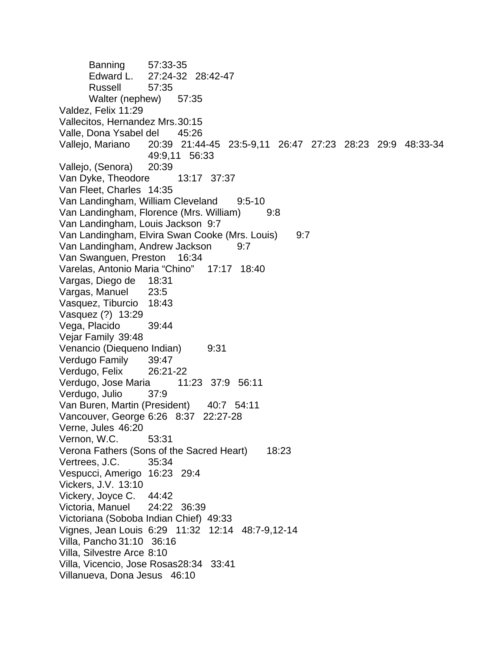Banning 57:33-35 Edward L. 27:24-32 28:42-47 Russell 57:35 Walter (nephew) 57:35 Valdez, Felix 11:29 Vallecitos, Hernandez Mrs. 30:15 Valle, Dona Ysabel del 45:26 Vallejo, Mariano 20:39 21:44-45 23:5-9,11 26:47 27:23 28:23 29:9 48:33-34 49:9,11 56:33 Vallejo, (Senora) 20:39 Van Dyke, Theodore 13:17 37:37 Van Fleet, Charles 14:35 Van Landingham, William Cleveland 9:5-10 Van Landingham, Florence (Mrs. William) 9:8 Van Landingham, Louis Jackson 9:7 Van Landingham, Elvira Swan Cooke (Mrs. Louis) 9:7 Van Landingham, Andrew Jackson 9:7 Van Swanguen, Preston 16:34 Varelas, Antonio Maria "Chino" 17:17 18:40 Vargas, Diego de 18:31 Vargas, Manuel 23:5 Vasquez, Tiburcio 18:43 Vasquez (?) 13:29 Vega, Placido 39:44 Vejar Family 39:48 Venancio (Diequeno Indian) 9:31 Verdugo Family 39:47 Verdugo, Felix 26:21-22 Verdugo, Jose Maria 11:23 37:9 56:11 Verdugo, Julio 37:9 Van Buren, Martin (President) 40:7 54:11 Vancouver, George 6:26 8:37 22:27-28 Verne, Jules 46:20 Vernon, W.C. 53:31 Verona Fathers (Sons of the Sacred Heart) 18:23 Vertrees, J.C. 35:34 Vespucci, Amerigo 16:23 29:4 Vickers, J.V. 13:10 Vickery, Joyce C. 44:42 Victoria, Manuel 24:22 36:39 Victoriana (Soboba Indian Chief) 49:33 Vignes, Jean Louis 6:29 11:32 12:14 48:7-9,12-14 Villa, Pancho 31:10 36:16 Villa, Silvestre Arce 8:10 Villa, Vicencio, Jose Rosas28:34 33:41 Villanueva, Dona Jesus 46:10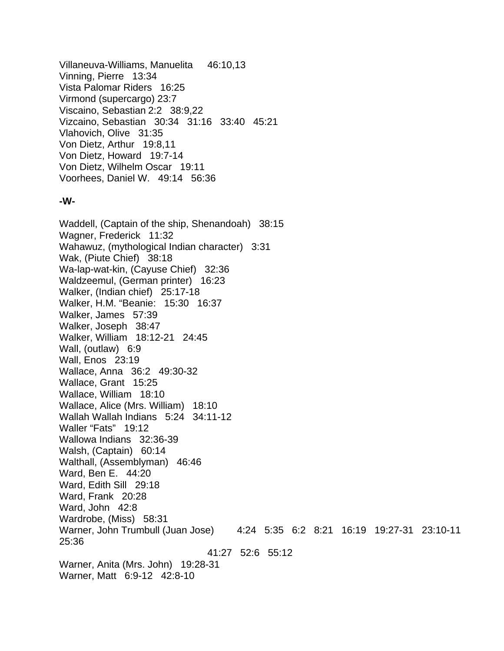Villaneuva-Williams, Manuelita 46:10,13 Vinning, Pierre 13:34 Vista Palomar Riders 16:25 Virmond (supercargo) 23:7 Viscaino, Sebastian 2:2 38:9,22 Vizcaino, Sebastian 30:34 31:16 33:40 45:21 Vlahovich, Olive 31:35 Von Dietz, Arthur 19:8,11 Von Dietz, Howard 19:7-14 Von Dietz, Wilhelm Oscar 19:11 Voorhees, Daniel W. 49:14 56:36

#### **-W-**

Waddell, (Captain of the ship, Shenandoah) 38:15 Wagner, Frederick 11:32 Wahawuz, (mythological Indian character) 3:31 Wak, (Piute Chief) 38:18 Wa-lap-wat-kin, (Cayuse Chief) 32:36 Waldzeemul, (German printer) 16:23 Walker, (Indian chief) 25:17-18 Walker, H.M. "Beanie: 15:30 16:37 Walker, James 57:39 Walker, Joseph 38:47 Walker, William 18:12-21 24:45 Wall, (outlaw) 6:9 Wall, Enos 23:19 Wallace, Anna 36:2 49:30-32 Wallace, Grant 15:25 Wallace, William 18:10 Wallace, Alice (Mrs. William) 18:10 Wallah Wallah Indians 5:24 34:11-12 Waller "Fats" 19:12 Wallowa Indians 32:36-39 Walsh, (Captain) 60:14 Walthall, (Assemblyman) 46:46 Ward, Ben E. 44:20 Ward, Edith Sill 29:18 Ward, Frank 20:28 Ward, John 42:8 Wardrobe, (Miss) 58:31 Warner, John Trumbull (Juan Jose) 4:24 5:35 6:2 8:21 16:19 19:27-31 23:10-11 25:36 41:27 52:6 55:12 Warner, Anita (Mrs. John) 19:28-31 Warner, Matt 6:9-12 42:8-10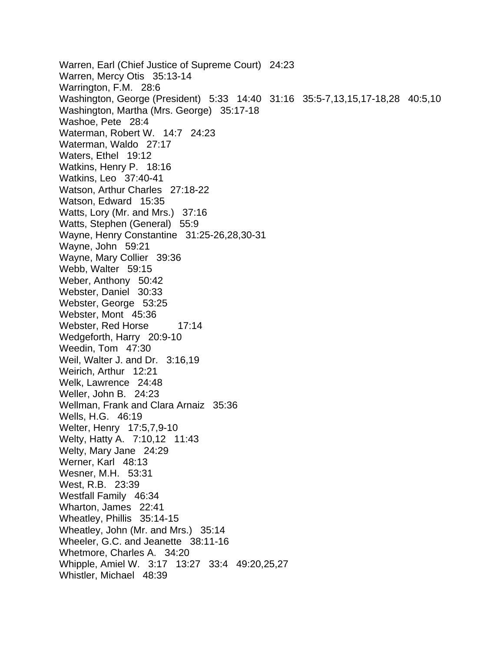Warren, Earl (Chief Justice of Supreme Court) 24:23 Warren, Mercy Otis 35:13-14 Warrington, F.M. 28:6 Washington, George (President) 5:33 14:40 31:16 35:5-7,13,15,17-18,28 40:5,10 Washington, Martha (Mrs. George) 35:17-18 Washoe, Pete 28:4 Waterman, Robert W. 14:7 24:23 Waterman, Waldo 27:17 Waters, Ethel 19:12 Watkins, Henry P. 18:16 Watkins, Leo 37:40-41 Watson, Arthur Charles 27:18-22 Watson, Edward 15:35 Watts, Lory (Mr. and Mrs.) 37:16 Watts, Stephen (General) 55:9 Wayne, Henry Constantine 31:25-26,28,30-31 Wayne, John 59:21 Wayne, Mary Collier 39:36 Webb, Walter 59:15 Weber, Anthony 50:42 Webster, Daniel 30:33 Webster, George 53:25 Webster, Mont 45:36 Webster, Red Horse 17:14 Wedgeforth, Harry 20:9-10 Weedin, Tom 47:30 Weil, Walter J. and Dr. 3:16,19 Weirich, Arthur 12:21 Welk, Lawrence 24:48 Weller, John B. 24:23 Wellman, Frank and Clara Arnaiz 35:36 Wells, H.G. 46:19 Welter, Henry 17:5,7,9-10 Welty, Hatty A. 7:10,12 11:43 Welty, Mary Jane 24:29 Werner, Karl 48:13 Wesner, M.H. 53:31 West, R.B. 23:39 Westfall Family 46:34 Wharton, James 22:41 Wheatley, Phillis 35:14-15 Wheatley, John (Mr. and Mrs.) 35:14 Wheeler, G.C. and Jeanette 38:11-16 Whetmore, Charles A. 34:20 Whipple, Amiel W. 3:17 13:27 33:4 49:20,25,27 Whistler, Michael 48:39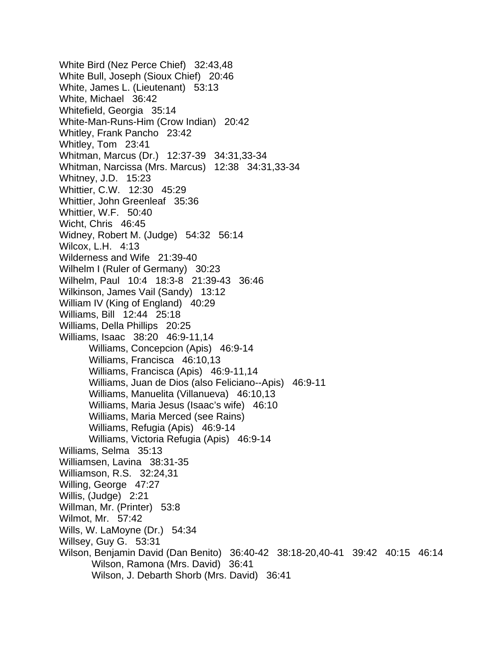White Bird (Nez Perce Chief) 32:43,48 White Bull, Joseph (Sioux Chief) 20:46 White, James L. (Lieutenant) 53:13 White, Michael 36:42 Whitefield, Georgia 35:14 White-Man-Runs-Him (Crow Indian) 20:42 Whitley, Frank Pancho 23:42 Whitley, Tom 23:41 Whitman, Marcus (Dr.) 12:37-39 34:31,33-34 Whitman, Narcissa (Mrs. Marcus) 12:38 34:31,33-34 Whitney, J.D. 15:23 Whittier, C.W. 12:30 45:29 Whittier, John Greenleaf 35:36 Whittier, W.F. 50:40 Wicht, Chris 46:45 Widney, Robert M. (Judge) 54:32 56:14 Wilcox, L.H. 4:13 Wilderness and Wife 21:39-40 Wilhelm I (Ruler of Germany) 30:23 Wilhelm, Paul 10:4 18:3-8 21:39-43 36:46 Wilkinson, James Vail (Sandy) 13:12 William IV (King of England) 40:29 Williams, Bill 12:44 25:18 Williams, Della Phillips 20:25 Williams, Isaac 38:20 46:9-11,14 Williams, Concepcion (Apis) 46:9-14 Williams, Francisca 46:10,13 Williams, Francisca (Apis) 46:9-11,14 Williams, Juan de Dios (also Feliciano--Apis) 46:9-11 Williams, Manuelita (Villanueva) 46:10,13 Williams, Maria Jesus (Isaac's wife) 46:10 Williams, Maria Merced (see Rains) Williams, Refugia (Apis) 46:9-14 Williams, Victoria Refugia (Apis) 46:9-14 Williams, Selma 35:13 Williamsen, Lavina 38:31-35 Williamson, R.S. 32:24,31 Willing, George 47:27 Willis, (Judge) 2:21 Willman, Mr. (Printer) 53:8 Wilmot, Mr. 57:42 Wills, W. LaMoyne (Dr.) 54:34 Willsey, Guy G. 53:31 Wilson, Benjamin David (Dan Benito) 36:40-42 38:18-20,40-41 39:42 40:15 46:14 Wilson, Ramona (Mrs. David) 36:41 Wilson, J. Debarth Shorb (Mrs. David) 36:41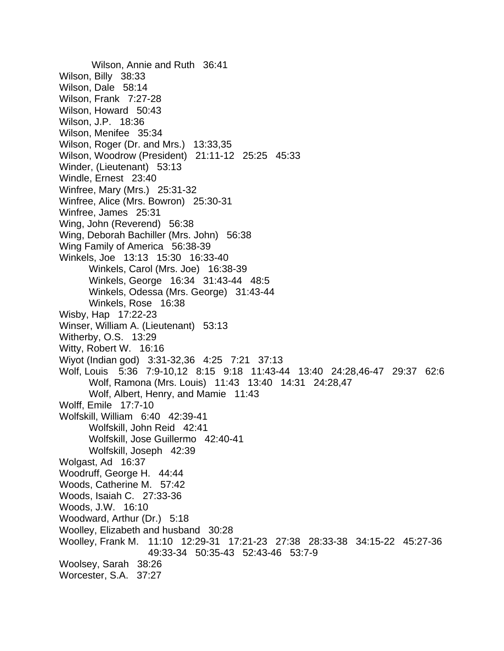Wilson, Annie and Ruth 36:41 Wilson, Billy 38:33 Wilson, Dale 58:14 Wilson, Frank 7:27-28 Wilson, Howard 50:43 Wilson, J.P. 18:36 Wilson, Menifee 35:34 Wilson, Roger (Dr. and Mrs.) 13:33,35 Wilson, Woodrow (President) 21:11-12 25:25 45:33 Winder, (Lieutenant) 53:13 Windle, Ernest 23:40 Winfree, Mary (Mrs.) 25:31-32 Winfree, Alice (Mrs. Bowron) 25:30-31 Winfree, James 25:31 Wing, John (Reverend) 56:38 Wing, Deborah Bachiller (Mrs. John) 56:38 Wing Family of America 56:38-39 Winkels, Joe 13:13 15:30 16:33-40 Winkels, Carol (Mrs. Joe) 16:38-39 Winkels, George 16:34 31:43-44 48:5 Winkels, Odessa (Mrs. George) 31:43-44 Winkels, Rose 16:38 Wisby, Hap 17:22-23 Winser, William A. (Lieutenant) 53:13 Witherby, O.S. 13:29 Witty, Robert W. 16:16 Wiyot (Indian god) 3:31-32,36 4:25 7:21 37:13 Wolf, Louis 5:36 7:9-10,12 8:15 9:18 11:43-44 13:40 24:28,46-47 29:37 62:6 Wolf, Ramona (Mrs. Louis) 11:43 13:40 14:31 24:28,47 Wolf, Albert, Henry, and Mamie 11:43 Wolff, Emile 17:7-10 Wolfskill, William 6:40 42:39-41 Wolfskill, John Reid 42:41 Wolfskill, Jose Guillermo 42:40-41 Wolfskill, Joseph 42:39 Wolgast, Ad 16:37 Woodruff, George H. 44:44 Woods, Catherine M. 57:42 Woods, Isaiah C. 27:33-36 Woods, J.W. 16:10 Woodward, Arthur (Dr.) 5:18 Woolley, Elizabeth and husband 30:28 Woolley, Frank M. 11:10 12:29-31 17:21-23 27:38 28:33-38 34:15-22 45:27-36 49:33-34 50:35-43 52:43-46 53:7-9 Woolsey, Sarah 38:26 Worcester, S.A. 37:27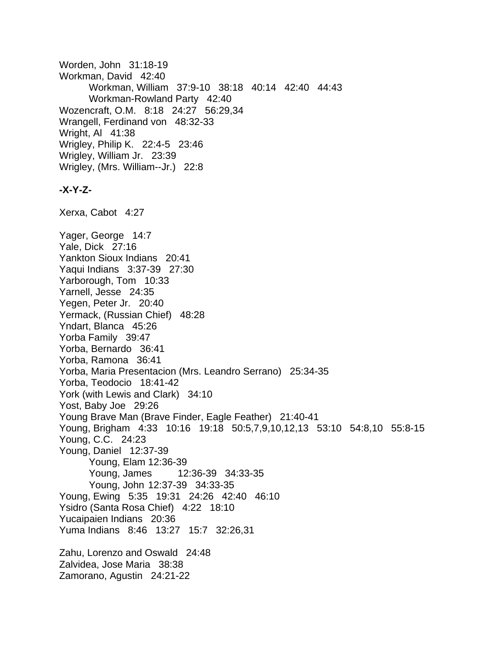Worden, John 31:18-19 Workman, David 42:40 Workman, William 37:9-10 38:18 40:14 42:40 44:43 Workman-Rowland Party 42:40 Wozencraft, O.M. 8:18 24:27 56:29,34 Wrangell, Ferdinand von 48:32-33 Wright, Al 41:38 Wrigley, Philip K. 22:4-5 23:46 Wrigley, William Jr. 23:39 Wrigley, (Mrs. William--Jr.) 22:8 **-X-Y-Z-**Xerxa, Cabot 4:27 Yager, George 14:7 Yale, Dick 27:16 Yankton Sioux Indians 20:41 Yaqui Indians 3:37-39 27:30 Yarborough, Tom 10:33 Yarnell, Jesse 24:35 Yegen, Peter Jr. 20:40 Yermack, (Russian Chief) 48:28 Yndart, Blanca 45:26 Yorba Family 39:47 Yorba, Bernardo 36:41 Yorba, Ramona 36:41 Yorba, Maria Presentacion (Mrs. Leandro Serrano) 25:34-35 Yorba, Teodocio 18:41-42 York (with Lewis and Clark) 34:10 Yost, Baby Joe 29:26 Young Brave Man (Brave Finder, Eagle Feather) 21:40-41 Young, Brigham 4:33 10:16 19:18 50:5,7,9,10,12,13 53:10 54:8,10 55:8-15 Young, C.C. 24:23 Young, Daniel 12:37-39 Young, Elam 12:36-39 Young, James 12:36-39 34:33-35 Young, John 12:37-39 34:33-35 Young, Ewing 5:35 19:31 24:26 42:40 46:10 Ysidro (Santa Rosa Chief) 4:22 18:10 Yucaipaien Indians 20:36 Yuma Indians 8:46 13:27 15:7 32:26,31 Zahu, Lorenzo and Oswald 24:48 Zalvidea, Jose Maria 38:38 Zamorano, Agustin 24:21-22